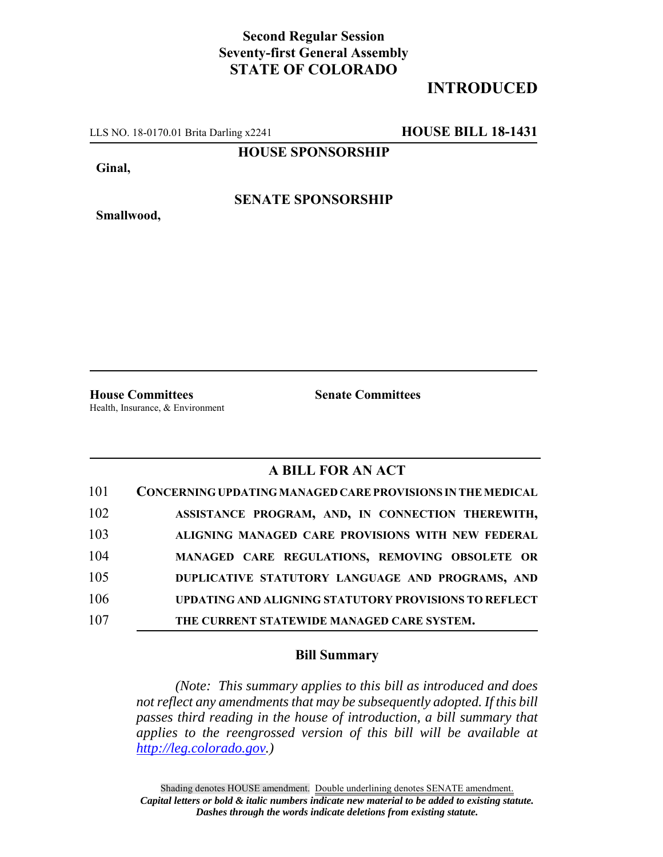## **Second Regular Session Seventy-first General Assembly STATE OF COLORADO**

## **INTRODUCED**

LLS NO. 18-0170.01 Brita Darling x2241 **HOUSE BILL 18-1431**

**HOUSE SPONSORSHIP**

**Ginal,**

**Smallwood,**

**SENATE SPONSORSHIP**

Health, Insurance, & Environment

**House Committees Senate Committees**

### **A BILL FOR AN ACT**

| 101 | CONCERNING UPDATING MANAGED CARE PROVISIONS IN THE MEDICAL |
|-----|------------------------------------------------------------|
| 102 | ASSISTANCE PROGRAM, AND, IN CONNECTION THEREWITH,          |
| 103 | ALIGNING MANAGED CARE PROVISIONS WITH NEW FEDERAL          |
| 104 | MANAGED CARE REGULATIONS, REMOVING OBSOLETE OR             |
| 105 | DUPLICATIVE STATUTORY LANGUAGE AND PROGRAMS, AND           |
| 106 | UPDATING AND ALIGNING STATUTORY PROVISIONS TO REFLECT      |
| 107 | THE CURRENT STATEWIDE MANAGED CARE SYSTEM.                 |

#### **Bill Summary**

*(Note: This summary applies to this bill as introduced and does not reflect any amendments that may be subsequently adopted. If this bill passes third reading in the house of introduction, a bill summary that applies to the reengrossed version of this bill will be available at http://leg.colorado.gov.)*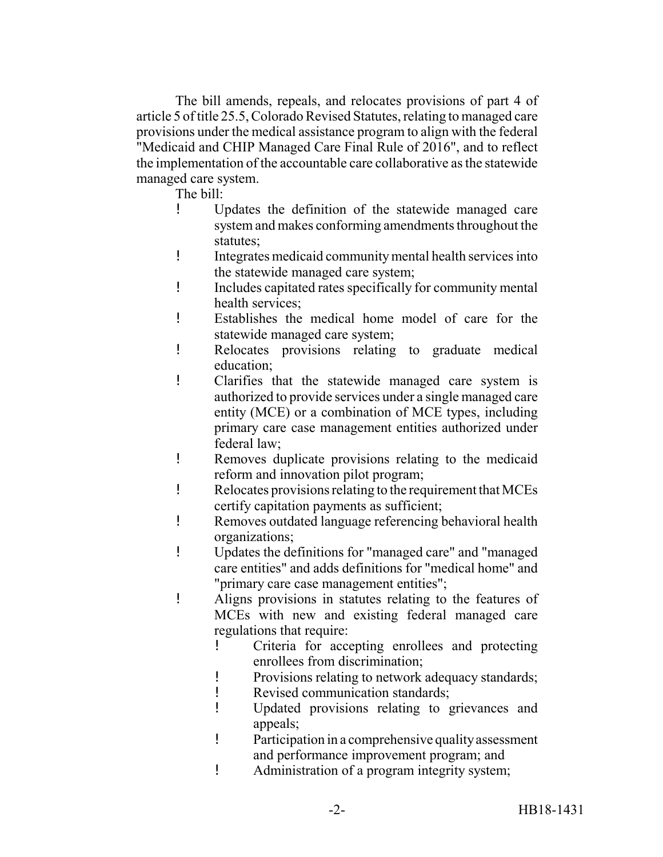The bill amends, repeals, and relocates provisions of part 4 of article 5 of title 25.5, Colorado Revised Statutes, relating to managed care provisions under the medical assistance program to align with the federal "Medicaid and CHIP Managed Care Final Rule of 2016", and to reflect the implementation of the accountable care collaborative as the statewide managed care system.

The bill:

- ! Updates the definition of the statewide managed care system and makes conforming amendments throughout the statutes;
- ! Integrates medicaid community mental health services into the statewide managed care system;
- ! Includes capitated rates specifically for community mental health services;
- ! Establishes the medical home model of care for the statewide managed care system;
- ! Relocates provisions relating to graduate medical education;
- ! Clarifies that the statewide managed care system is authorized to provide services under a single managed care entity (MCE) or a combination of MCE types, including primary care case management entities authorized under federal law;
- ! Removes duplicate provisions relating to the medicaid reform and innovation pilot program;
- ! Relocates provisions relating to the requirement that MCEs certify capitation payments as sufficient;
- ! Removes outdated language referencing behavioral health organizations;
- ! Updates the definitions for "managed care" and "managed care entities" and adds definitions for "medical home" and "primary care case management entities";
- ! Aligns provisions in statutes relating to the features of MCEs with new and existing federal managed care regulations that require:
	- ! Criteria for accepting enrollees and protecting enrollees from discrimination;
	- ! Provisions relating to network adequacy standards;
	- ! Revised communication standards;
	- ! Updated provisions relating to grievances and appeals;
	- ! Participation in a comprehensive quality assessment and performance improvement program; and
	- ! Administration of a program integrity system;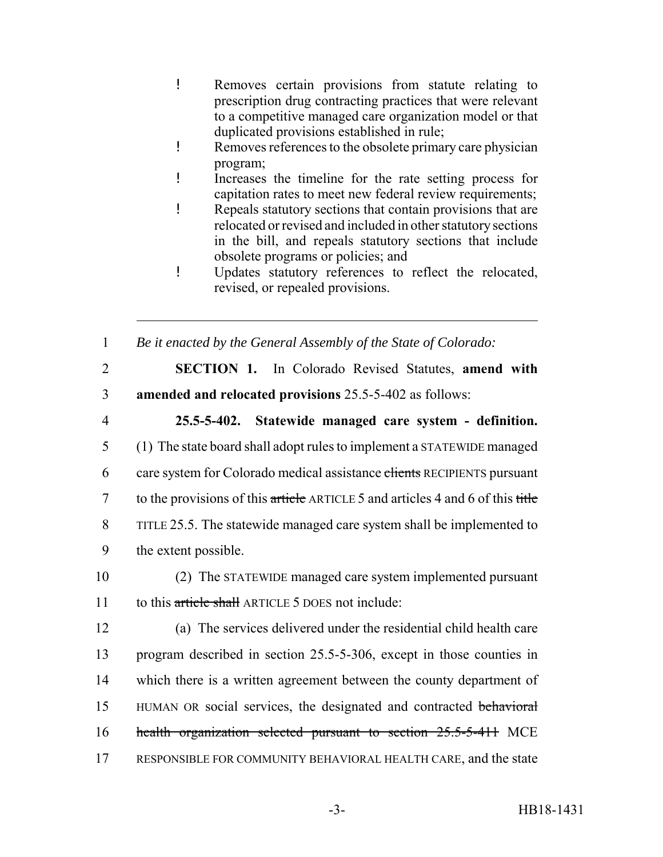- ! Removes certain provisions from statute relating to prescription drug contracting practices that were relevant to a competitive managed care organization model or that duplicated provisions established in rule;
- ! Removes references to the obsolete primary care physician program;
- ! Increases the timeline for the rate setting process for capitation rates to meet new federal review requirements;
- ! Repeals statutory sections that contain provisions that are relocated or revised and included in other statutory sections in the bill, and repeals statutory sections that include obsolete programs or policies; and
- ! Updates statutory references to reflect the relocated, revised, or repealed provisions.
- 1 *Be it enacted by the General Assembly of the State of Colorado:*
- 

# 2 **SECTION 1.** In Colorado Revised Statutes, **amend with** 3 **amended and relocated provisions** 25.5-5-402 as follows:

## 4 **25.5-5-402. Statewide managed care system - definition.**

- 5 (1) The state board shall adopt rules to implement a STATEWIDE managed 6 care system for Colorado medical assistance elients RECIPIENTS pursuant 7 to the provisions of this article ARTICLE 5 and articles 4 and 6 of this title 8 TITLE 25.5. The statewide managed care system shall be implemented to 9 the extent possible.
- 10 (2) The STATEWIDE managed care system implemented pursuant 11 to this article shall ARTICLE 5 DOES not include:
- 12 (a) The services delivered under the residential child health care 13 program described in section 25.5-5-306, except in those counties in 14 which there is a written agreement between the county department of 15 HUMAN OR social services, the designated and contracted behavioral 16 health organization selected pursuant to section 25.5-5-411 MCE 17 RESPONSIBLE FOR COMMUNITY BEHAVIORAL HEALTH CARE, and the state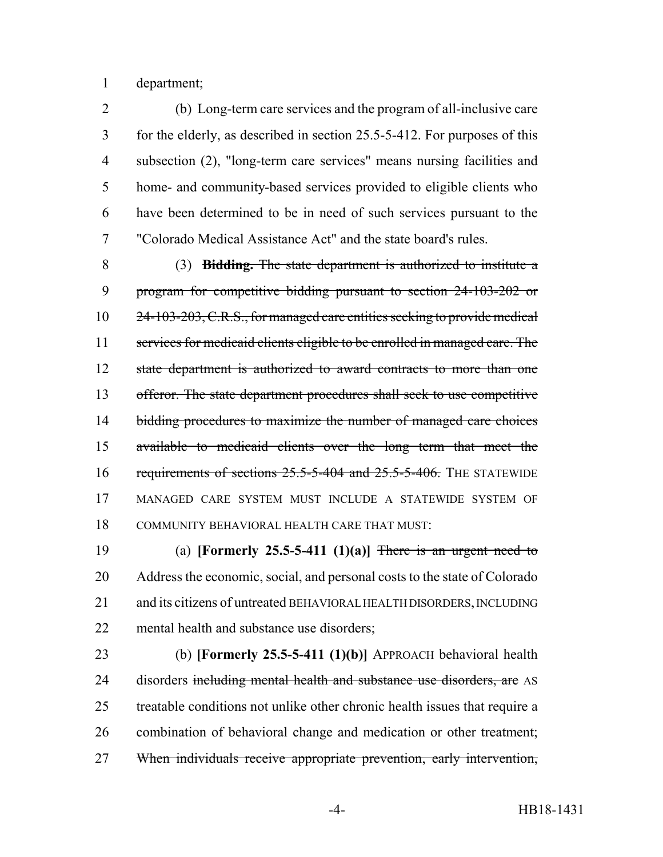department;

 (b) Long-term care services and the program of all-inclusive care for the elderly, as described in section 25.5-5-412. For purposes of this subsection (2), "long-term care services" means nursing facilities and home- and community-based services provided to eligible clients who have been determined to be in need of such services pursuant to the "Colorado Medical Assistance Act" and the state board's rules.

 (3) **Bidding.** The state department is authorized to institute a program for competitive bidding pursuant to section 24-103-202 or 24-103-203, C.R.S., for managed care entities seeking to provide medical services for medicaid clients eligible to be enrolled in managed care. The 12 state department is authorized to award contracts to more than one offeror. The state department procedures shall seek to use competitive 14 bidding procedures to maximize the number of managed care choices available to medicaid clients over the long term that meet the 16 requirements of sections 25.5-5-404 and 25.5-5-406. THE STATEWIDE MANAGED CARE SYSTEM MUST INCLUDE A STATEWIDE SYSTEM OF COMMUNITY BEHAVIORAL HEALTH CARE THAT MUST:

 (a) **[Formerly 25.5-5-411 (1)(a)]** There is an urgent need to Address the economic, social, and personal costs to the state of Colorado and its citizens of untreated BEHAVIORAL HEALTH DISORDERS, INCLUDING mental health and substance use disorders;

 (b) **[Formerly 25.5-5-411 (1)(b)]** APPROACH behavioral health 24 disorders including mental health and substance use disorders, are AS treatable conditions not unlike other chronic health issues that require a combination of behavioral change and medication or other treatment; When individuals receive appropriate prevention, early intervention,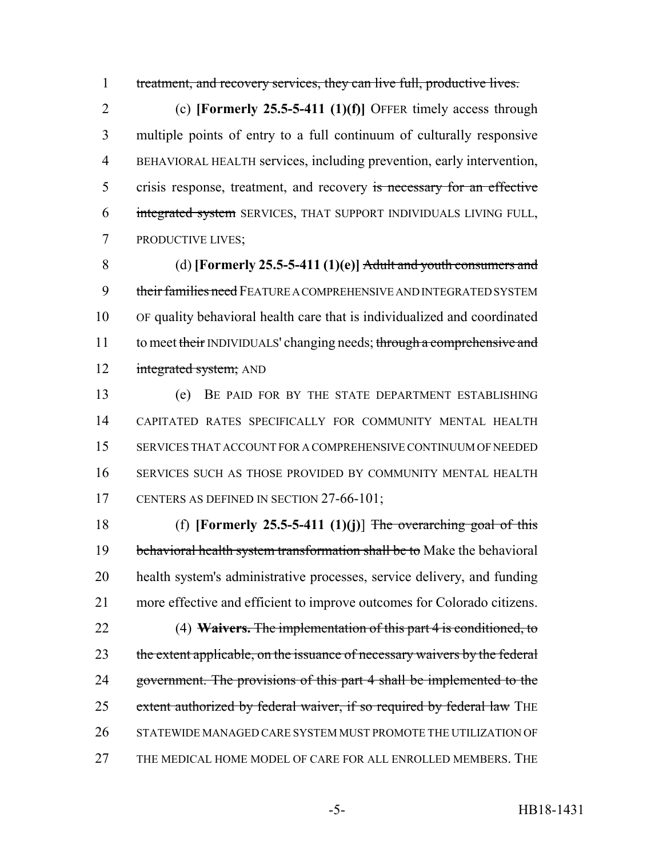treatment, and recovery services, they can live full, productive lives.

 (c) **[Formerly 25.5-5-411 (1)(f)]** OFFER timely access through multiple points of entry to a full continuum of culturally responsive BEHAVIORAL HEALTH services, including prevention, early intervention, 5 crisis response, treatment, and recovery is necessary for an effective integrated system SERVICES, THAT SUPPORT INDIVIDUALS LIVING FULL, PRODUCTIVE LIVES;

 (d) **[Formerly 25.5-5-411 (1)(e)]** Adult and youth consumers and 9 their families need FEATURE A COMPREHENSIVE AND INTEGRATED SYSTEM OF quality behavioral health care that is individualized and coordinated 11 to meet their INDIVIDUALS' changing needs; through a comprehensive and 12 integrated system; AND

 (e) BE PAID FOR BY THE STATE DEPARTMENT ESTABLISHING CAPITATED RATES SPECIFICALLY FOR COMMUNITY MENTAL HEALTH SERVICES THAT ACCOUNT FOR A COMPREHENSIVE CONTINUUM OF NEEDED SERVICES SUCH AS THOSE PROVIDED BY COMMUNITY MENTAL HEALTH 17 CENTERS AS DEFINED IN SECTION 27-66-101;

 (f) **[Formerly 25.5-5-411 (1)(j)**] The overarching goal of this 19 behavioral health system transformation shall be to Make the behavioral health system's administrative processes, service delivery, and funding more effective and efficient to improve outcomes for Colorado citizens. (4) **Waivers.** The implementation of this part 4 is conditioned, to 23 the extent applicable, on the issuance of necessary waivers by the federal 24 government. The provisions of this part 4 shall be implemented to the

25 extent authorized by federal waiver, if so required by federal law THE

- STATEWIDE MANAGED CARE SYSTEM MUST PROMOTE THE UTILIZATION OF
- THE MEDICAL HOME MODEL OF CARE FOR ALL ENROLLED MEMBERS. THE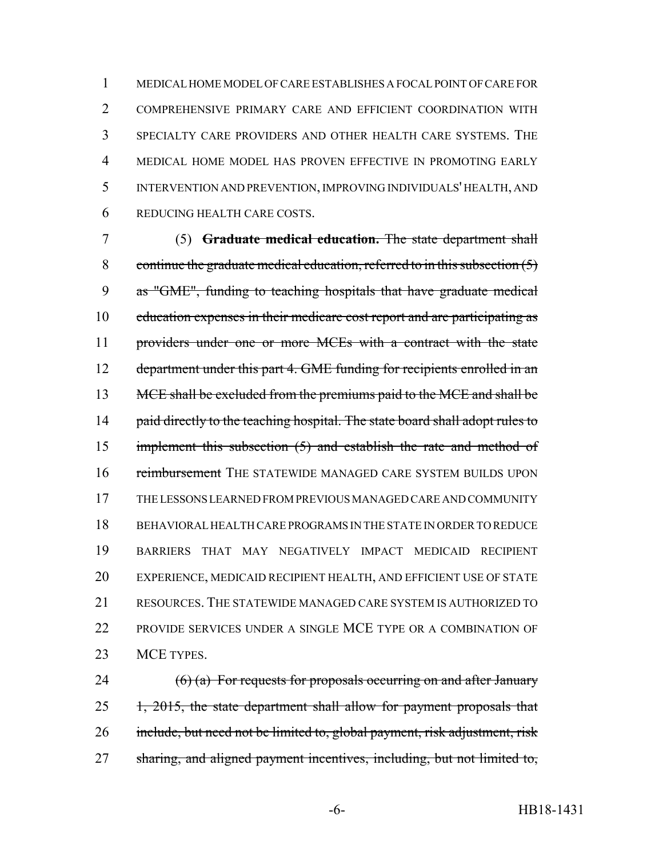MEDICAL HOME MODEL OF CARE ESTABLISHES A FOCAL POINT OF CARE FOR COMPREHENSIVE PRIMARY CARE AND EFFICIENT COORDINATION WITH SPECIALTY CARE PROVIDERS AND OTHER HEALTH CARE SYSTEMS. THE MEDICAL HOME MODEL HAS PROVEN EFFECTIVE IN PROMOTING EARLY INTERVENTION AND PREVENTION, IMPROVING INDIVIDUALS' HEALTH, AND REDUCING HEALTH CARE COSTS.

7 (5) **Graduate medical education.** The state department shall 8 continue the graduate medical education, referred to in this subsection  $(5)$ 9 as "GME", funding to teaching hospitals that have graduate medical 10 education expenses in their medicare cost report and are participating as 11 providers under one or more MCEs with a contract with the state 12 department under this part 4. GME funding for recipients enrolled in an 13 MCE shall be excluded from the premiums paid to the MCE and shall be 14 paid directly to the teaching hospital. The state board shall adopt rules to 15 implement this subsection (5) and establish the rate and method of 16 reimbursement THE STATEWIDE MANAGED CARE SYSTEM BUILDS UPON 17 THE LESSONS LEARNED FROM PREVIOUS MANAGED CARE AND COMMUNITY 18 BEHAVIORAL HEALTH CARE PROGRAMS IN THE STATE IN ORDER TO REDUCE 19 BARRIERS THAT MAY NEGATIVELY IMPACT MEDICAID RECIPIENT 20 EXPERIENCE, MEDICAID RECIPIENT HEALTH, AND EFFICIENT USE OF STATE 21 RESOURCES. THE STATEWIDE MANAGED CARE SYSTEM IS AUTHORIZED TO 22 PROVIDE SERVICES UNDER A SINGLE MCE TYPE OR A COMBINATION OF 23 MCE TYPES.

24  $(6)$  (a) For requests for proposals occurring on and after January 25 1, 2015, the state department shall allow for payment proposals that 26 include, but need not be limited to, global payment, risk adjustment, risk 27 sharing, and aligned payment incentives, including, but not limited to,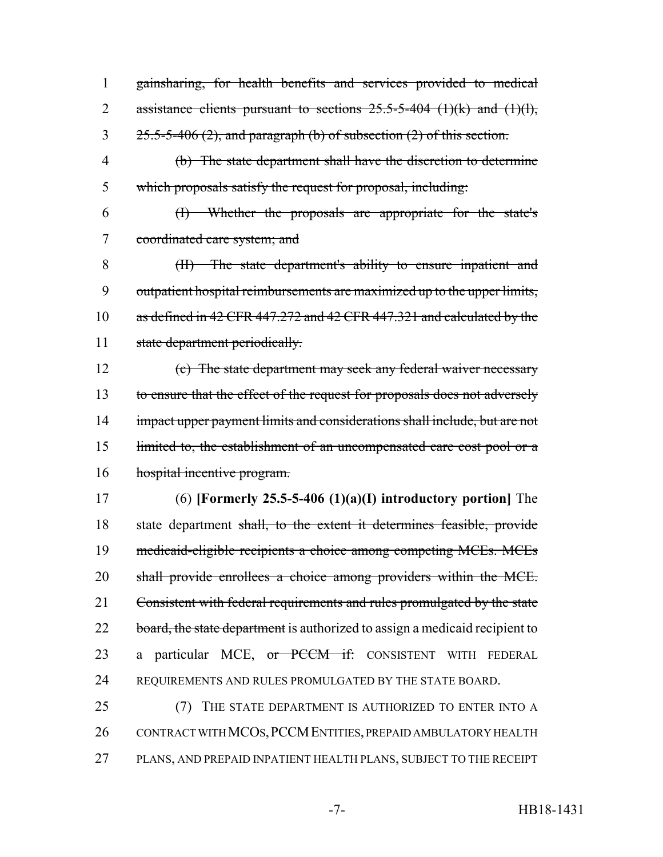1 gainsharing, for health benefits and services provided to medical 2 assistance clients pursuant to sections  $25.5-5-404$  (1)(k) and (1)(l),  $3 \frac{25.5-5-406}{2}$ , and paragraph (b) of subsection (2) of this section.

4 (b) The state department shall have the discretion to determine 5 which proposals satisfy the request for proposal, including:

6 (I) Whether the proposals are appropriate for the state's 7 coordinated care system; and

8 (II) The state department's ability to ensure inpatient and 9 outpatient hospital reimbursements are maximized up to the upper limits, 10 as defined in 42 CFR 447.272 and 42 CFR 447.321 and calculated by the 11 state department periodically.

12 (c) The state department may seek any federal waiver necessary 13 to ensure that the effect of the request for proposals does not adversely 14 impact upper payment limits and considerations shall include, but are not 15 limited to, the establishment of an uncompensated care cost pool or a 16 hospital incentive program.

17 (6) **[Formerly 25.5-5-406 (1)(a)(I) introductory portion]** The 18 state department shall, to the extent it determines feasible, provide 19 medicaid-eligible recipients a choice among competing MCEs. MCEs 20 shall provide enrollees a choice among providers within the MCE. 21 Consistent with federal requirements and rules promulgated by the state 22 board, the state department is authorized to assign a medicaid recipient to 23 a particular MCE, or PCCM if: CONSISTENT WITH FEDERAL 24 REQUIREMENTS AND RULES PROMULGATED BY THE STATE BOARD.

25 (7) THE STATE DEPARTMENT IS AUTHORIZED TO ENTER INTO A 26 CONTRACT WITH MCOS, PCCM ENTITIES, PREPAID AMBULATORY HEALTH 27 PLANS, AND PREPAID INPATIENT HEALTH PLANS, SUBJECT TO THE RECEIPT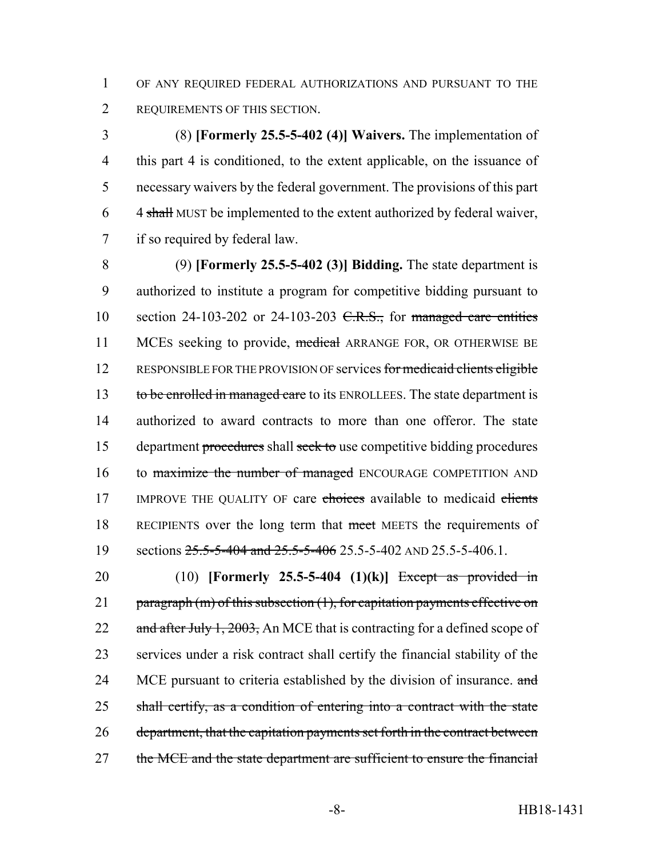1 OF ANY REQUIRED FEDERAL AUTHORIZATIONS AND PURSUANT TO THE 2 REQUIREMENTS OF THIS SECTION.

 (8) **[Formerly 25.5-5-402 (4)] Waivers.** The implementation of this part 4 is conditioned, to the extent applicable, on the issuance of necessary waivers by the federal government. The provisions of this part 4 shall MUST be implemented to the extent authorized by federal waiver, if so required by federal law.

8 (9) **[Formerly 25.5-5-402 (3)] Bidding.** The state department is 9 authorized to institute a program for competitive bidding pursuant to 10 section 24-103-202 or 24-103-203  $C.R.S.,$  for managed care entities 11 MCEs seeking to provide, medical ARRANGE FOR, OR OTHERWISE BE 12 RESPONSIBLE FOR THE PROVISION OF services for medicaid clients eligible 13 to be enrolled in managed care to its ENROLLEES. The state department is 14 authorized to award contracts to more than one offeror. The state 15 department procedures shall seek to use competitive bidding procedures 16 to maximize the number of managed ENCOURAGE COMPETITION AND 17 IMPROVE THE QUALITY OF care choices available to medicaid clients 18 RECIPIENTS over the long term that meet MEETS the requirements of 19 sections  $25.5 - 5 - 404$  and  $25.5 - 5 - 406$  25.5 - 5 -402 AND 25.5 - 5 - 406.1.

20 (10) **[Formerly 25.5-5-404 (1)(k)]** Except as provided in 21 paragraph (m) of this subsection (1), for capitation payments effective on 22 and after July 1, 2003, An MCE that is contracting for a defined scope of 23 services under a risk contract shall certify the financial stability of the 24 MCE pursuant to criteria established by the division of insurance. and 25 shall certify, as a condition of entering into a contract with the state 26 department, that the capitation payments set forth in the contract between 27 the MCE and the state department are sufficient to ensure the financial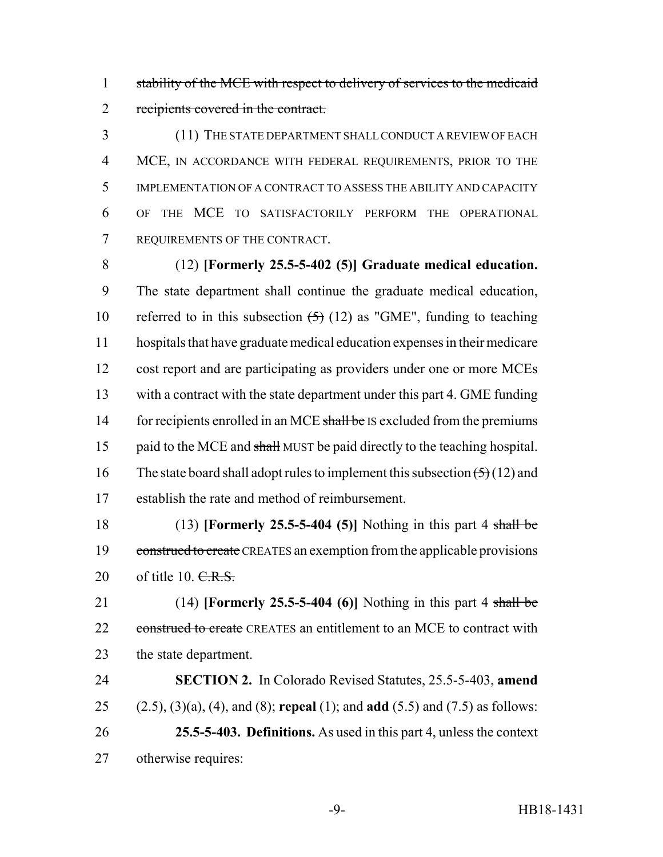stability of the MCE with respect to delivery of services to the medicaid recipients covered in the contract.

 (11) THE STATE DEPARTMENT SHALL CONDUCT A REVIEW OF EACH MCE, IN ACCORDANCE WITH FEDERAL REQUIREMENTS, PRIOR TO THE IMPLEMENTATION OF A CONTRACT TO ASSESS THE ABILITY AND CAPACITY OF THE MCE TO SATISFACTORILY PERFORM THE OPERATIONAL REQUIREMENTS OF THE CONTRACT.

 (12) **[Formerly 25.5-5-402 (5)] Graduate medical education.** The state department shall continue the graduate medical education, 10 referred to in this subsection  $\left(5\right)$  (12) as "GME", funding to teaching hospitals that have graduate medical education expenses in their medicare cost report and are participating as providers under one or more MCEs with a contract with the state department under this part 4. GME funding 14 for recipients enrolled in an MCE shall be IS excluded from the premiums 15 paid to the MCE and shall MUST be paid directly to the teaching hospital. 16 The state board shall adopt rules to implement this subsection  $(5)(12)$  and establish the rate and method of reimbursement.

 (13) **[Formerly 25.5-5-404 (5)]** Nothing in this part 4 shall be 19 construed to create CREATES an exemption from the applicable provisions 20 of title 10.  $C.R.S.$ 

 (14) **[Formerly 25.5-5-404 (6)]** Nothing in this part 4 shall be 22 construed to create CREATES an entitlement to an MCE to contract with the state department.

 **SECTION 2.** In Colorado Revised Statutes, 25.5-5-403, **amend** (2.5), (3)(a), (4), and (8); **repeal** (1); and **add** (5.5) and (7.5) as follows: **25.5-5-403. Definitions.** As used in this part 4, unless the context otherwise requires: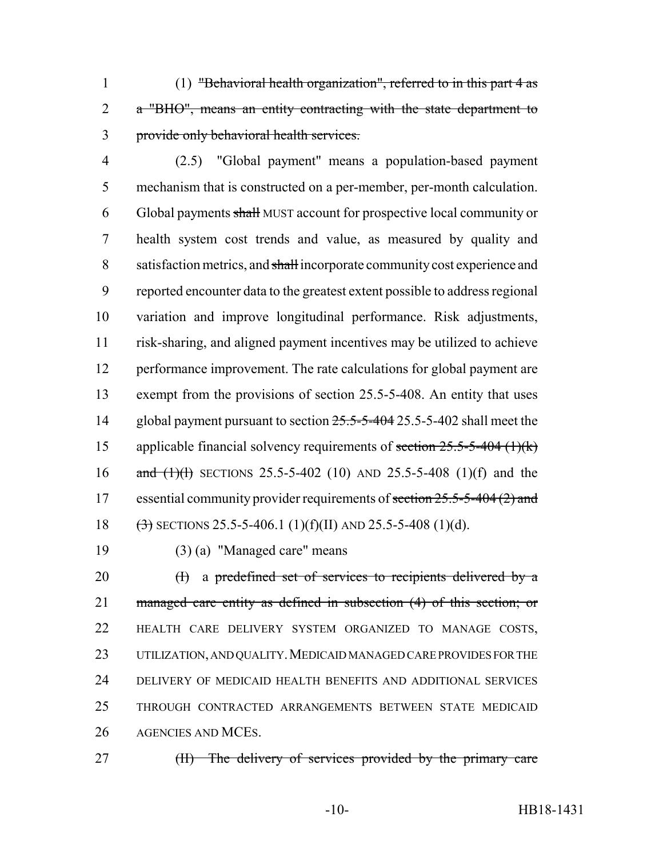(1) "Behavioral health organization", referred to in this part 4 as a "BHO", means an entity contracting with the state department to provide only behavioral health services.

- (2.5) "Global payment" means a population-based payment mechanism that is constructed on a per-member, per-month calculation. Global payments shall MUST account for prospective local community or health system cost trends and value, as measured by quality and 8 satisfaction metrics, and shall incorporate community cost experience and reported encounter data to the greatest extent possible to address regional variation and improve longitudinal performance. Risk adjustments, risk-sharing, and aligned payment incentives may be utilized to achieve 12 performance improvement. The rate calculations for global payment are exempt from the provisions of section 25.5-5-408. An entity that uses 14 global payment pursuant to section  $25.5-5-404$  25.5-5-402 shall meet the 15 applicable financial solvency requirements of section  $25.5-5-404$  (1)(k) 16 and  $(1)(1)$  SECTIONS 25.5-5-402 (10) AND 25.5-5-408 (1)(f) and the 17 essential community provider requirements of section 25.5-5-404 (2) and 18  $\left(\frac{3}{2}\right)$  SECTIONS 25.5-5-406.1 (1)(f)(II) AND 25.5-5-408 (1)(d).
	-

(3) (a) "Managed care" means

 (I) a predefined set of services to recipients delivered by a managed care entity as defined in subsection (4) of this section; or HEALTH CARE DELIVERY SYSTEM ORGANIZED TO MANAGE COSTS, 23 UTILIZATION, AND QUALITY. MEDICAID MANAGED CARE PROVIDES FOR THE DELIVERY OF MEDICAID HEALTH BENEFITS AND ADDITIONAL SERVICES THROUGH CONTRACTED ARRANGEMENTS BETWEEN STATE MEDICAID AGENCIES AND MCES.

27 (II) The delivery of services provided by the primary care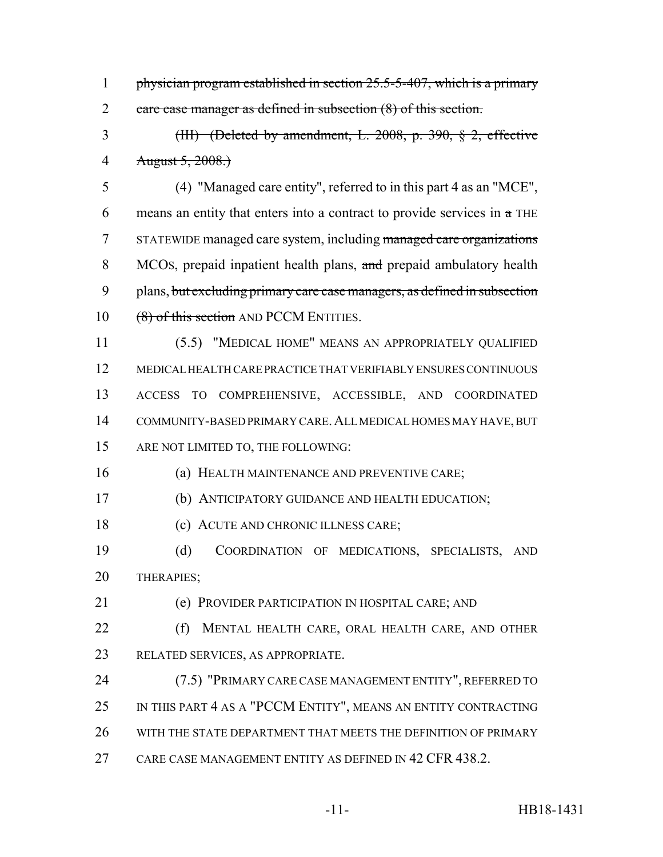physician program established in section 25.5-5-407, which is a primary care case manager as defined in subsection (8) of this section.

 (III) (Deleted by amendment, L. 2008, p. 390, § 2, effective August 5, 2008.)

 (4) "Managed care entity", referred to in this part 4 as an "MCE", 6 means an entity that enters into a contract to provide services in  $a$  THE STATEWIDE managed care system, including managed care organizations 8 MCOS, prepaid inpatient health plans, and prepaid ambulatory health plans, but excluding primary care case managers, as defined in subsection 10 (8) of this section AND PCCM ENTITIES.

 (5.5) "MEDICAL HOME" MEANS AN APPROPRIATELY QUALIFIED MEDICAL HEALTH CARE PRACTICE THAT VERIFIABLY ENSURES CONTINUOUS ACCESS TO COMPREHENSIVE, ACCESSIBLE, AND COORDINATED COMMUNITY-BASED PRIMARY CARE.ALL MEDICAL HOMES MAY HAVE, BUT ARE NOT LIMITED TO, THE FOLLOWING:

(a) HEALTH MAINTENANCE AND PREVENTIVE CARE;

(b) ANTICIPATORY GUIDANCE AND HEALTH EDUCATION;

18 (c) ACUTE AND CHRONIC ILLNESS CARE;

 (d) COORDINATION OF MEDICATIONS, SPECIALISTS, AND THERAPIES;

(e) PROVIDER PARTICIPATION IN HOSPITAL CARE; AND

 (f) MENTAL HEALTH CARE, ORAL HEALTH CARE, AND OTHER RELATED SERVICES, AS APPROPRIATE.

 (7.5) "PRIMARY CARE CASE MANAGEMENT ENTITY", REFERRED TO IN THIS PART 4 AS A "PCCM ENTITY", MEANS AN ENTITY CONTRACTING WITH THE STATE DEPARTMENT THAT MEETS THE DEFINITION OF PRIMARY CARE CASE MANAGEMENT ENTITY AS DEFINED IN 42 CFR 438.2.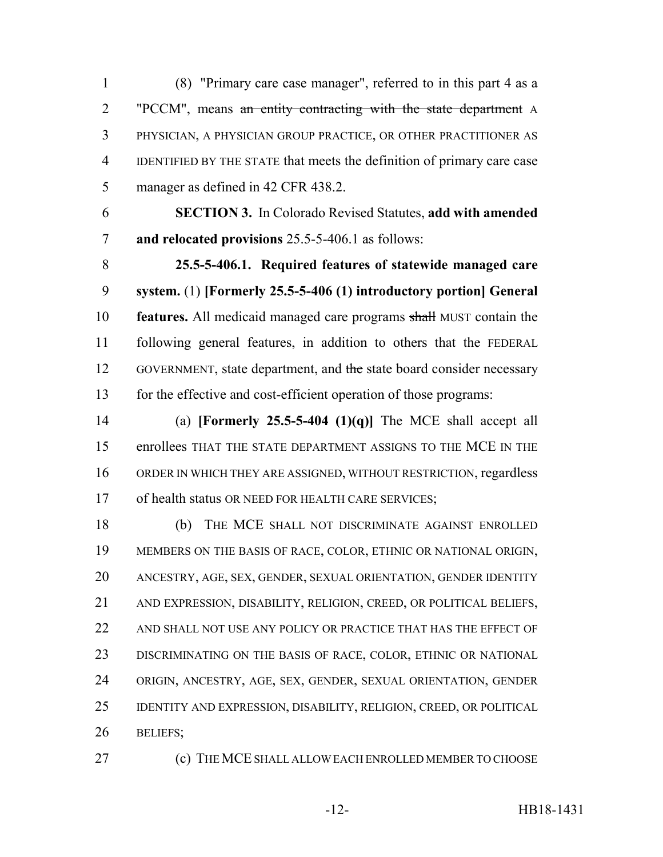(8) "Primary care case manager", referred to in this part 4 as a "PCCM", means an entity contracting with the state department A PHYSICIAN, A PHYSICIAN GROUP PRACTICE, OR OTHER PRACTITIONER AS IDENTIFIED BY THE STATE that meets the definition of primary care case manager as defined in 42 CFR 438.2.

 **SECTION 3.** In Colorado Revised Statutes, **add with amended and relocated provisions** 25.5-5-406.1 as follows:

 **25.5-5-406.1. Required features of statewide managed care system.** (1) **[Formerly 25.5-5-406 (1) introductory portion] General features.** All medicaid managed care programs shall MUST contain the following general features, in addition to others that the FEDERAL 12 GOVERNMENT, state department, and the state board consider necessary for the effective and cost-efficient operation of those programs:

 (a) **[Formerly 25.5-5-404 (1)(q)]** The MCE shall accept all enrollees THAT THE STATE DEPARTMENT ASSIGNS TO THE MCE IN THE ORDER IN WHICH THEY ARE ASSIGNED, WITHOUT RESTRICTION, regardless 17 of health status OR NEED FOR HEALTH CARE SERVICES;

 (b) THE MCE SHALL NOT DISCRIMINATE AGAINST ENROLLED MEMBERS ON THE BASIS OF RACE, COLOR, ETHNIC OR NATIONAL ORIGIN, ANCESTRY, AGE, SEX, GENDER, SEXUAL ORIENTATION, GENDER IDENTITY AND EXPRESSION, DISABILITY, RELIGION, CREED, OR POLITICAL BELIEFS, AND SHALL NOT USE ANY POLICY OR PRACTICE THAT HAS THE EFFECT OF DISCRIMINATING ON THE BASIS OF RACE, COLOR, ETHNIC OR NATIONAL ORIGIN, ANCESTRY, AGE, SEX, GENDER, SEXUAL ORIENTATION, GENDER IDENTITY AND EXPRESSION, DISABILITY, RELIGION, CREED, OR POLITICAL BELIEFS;

(c) THE MCE SHALL ALLOW EACH ENROLLED MEMBER TO CHOOSE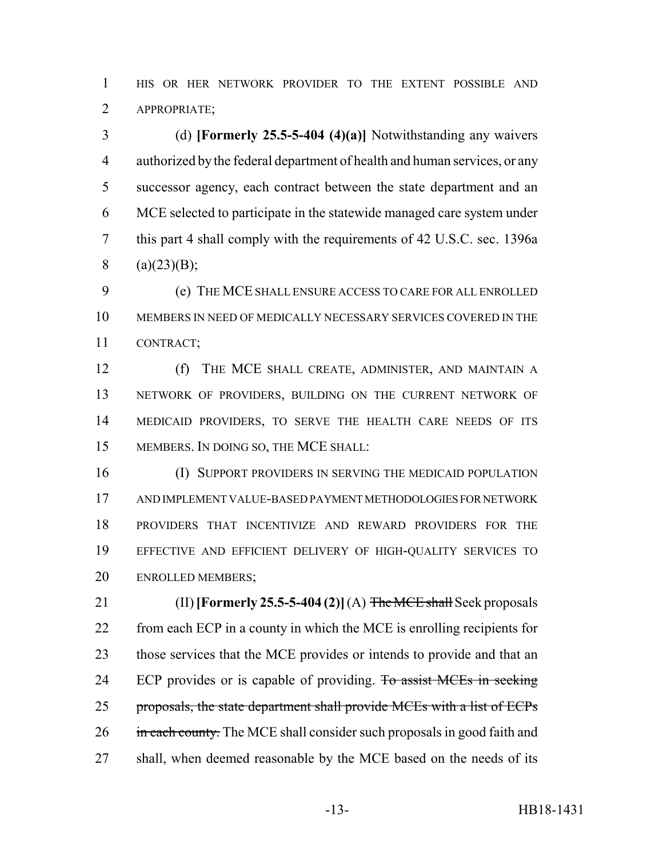HIS OR HER NETWORK PROVIDER TO THE EXTENT POSSIBLE AND APPROPRIATE;

 (d) **[Formerly 25.5-5-404 (4)(a)]** Notwithstanding any waivers authorized by the federal department of health and human services, or any successor agency, each contract between the state department and an MCE selected to participate in the statewide managed care system under this part 4 shall comply with the requirements of 42 U.S.C. sec. 1396a 8 (a)(23)(B);

 (e) THE MCE SHALL ENSURE ACCESS TO CARE FOR ALL ENROLLED MEMBERS IN NEED OF MEDICALLY NECESSARY SERVICES COVERED IN THE CONTRACT;

 (f) THE MCE SHALL CREATE, ADMINISTER, AND MAINTAIN A NETWORK OF PROVIDERS, BUILDING ON THE CURRENT NETWORK OF MEDICAID PROVIDERS, TO SERVE THE HEALTH CARE NEEDS OF ITS MEMBERS. IN DOING SO, THE MCE SHALL:

 (I) SUPPORT PROVIDERS IN SERVING THE MEDICAID POPULATION AND IMPLEMENT VALUE-BASED PAYMENT METHODOLOGIES FOR NETWORK PROVIDERS THAT INCENTIVIZE AND REWARD PROVIDERS FOR THE EFFECTIVE AND EFFICIENT DELIVERY OF HIGH-QUALITY SERVICES TO ENROLLED MEMBERS;

 (II) **[Formerly 25.5-5-404 (2)]** (A) The MCE shall Seek proposals from each ECP in a county in which the MCE is enrolling recipients for those services that the MCE provides or intends to provide and that an 24 ECP provides or is capable of providing. To assist MCEs in seeking 25 proposals, the state department shall provide MCEs with a list of ECPs 26 in each county. The MCE shall consider such proposals in good faith and 27 shall, when deemed reasonable by the MCE based on the needs of its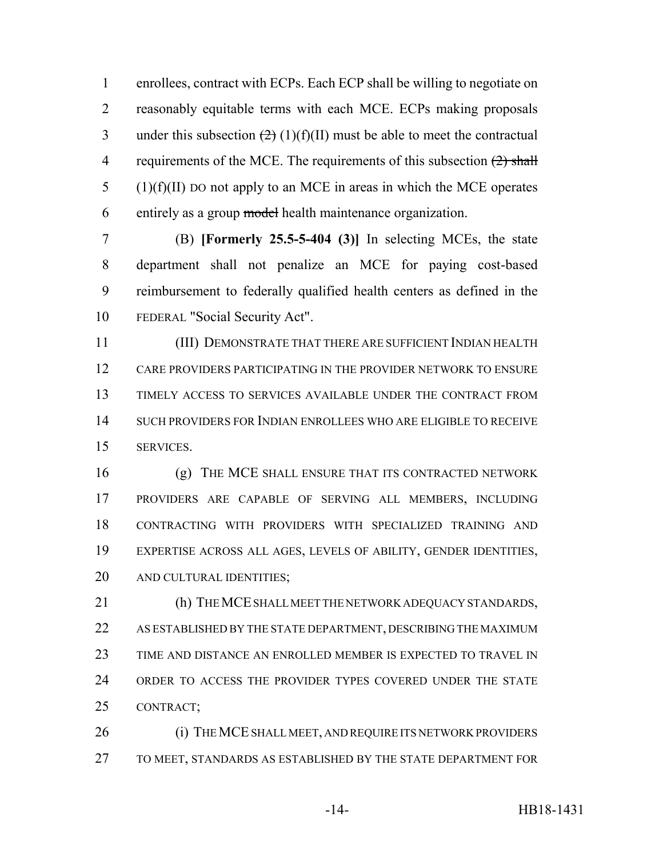enrollees, contract with ECPs. Each ECP shall be willing to negotiate on reasonably equitable terms with each MCE. ECPs making proposals 3 under this subsection  $(2)(1)(f)(II)$  must be able to meet the contractual 4 requirements of the MCE. The requirements of this subsection  $(2)$  shall (1)(f)(II) DO not apply to an MCE in areas in which the MCE operates entirely as a group model health maintenance organization.

 (B) **[Formerly 25.5-5-404 (3)]** In selecting MCEs, the state department shall not penalize an MCE for paying cost-based reimbursement to federally qualified health centers as defined in the FEDERAL "Social Security Act".

 (III) DEMONSTRATE THAT THERE ARE SUFFICIENT INDIAN HEALTH CARE PROVIDERS PARTICIPATING IN THE PROVIDER NETWORK TO ENSURE TIMELY ACCESS TO SERVICES AVAILABLE UNDER THE CONTRACT FROM SUCH PROVIDERS FOR INDIAN ENROLLEES WHO ARE ELIGIBLE TO RECEIVE SERVICES.

 (g) THE MCE SHALL ENSURE THAT ITS CONTRACTED NETWORK PROVIDERS ARE CAPABLE OF SERVING ALL MEMBERS, INCLUDING CONTRACTING WITH PROVIDERS WITH SPECIALIZED TRAINING AND EXPERTISE ACROSS ALL AGES, LEVELS OF ABILITY, GENDER IDENTITIES, AND CULTURAL IDENTITIES;

 (h) THE MCE SHALL MEET THE NETWORK ADEQUACY STANDARDS, AS ESTABLISHED BY THE STATE DEPARTMENT, DESCRIBING THE MAXIMUM TIME AND DISTANCE AN ENROLLED MEMBER IS EXPECTED TO TRAVEL IN ORDER TO ACCESS THE PROVIDER TYPES COVERED UNDER THE STATE CONTRACT;

 (i) THE MCE SHALL MEET, AND REQUIRE ITS NETWORK PROVIDERS TO MEET, STANDARDS AS ESTABLISHED BY THE STATE DEPARTMENT FOR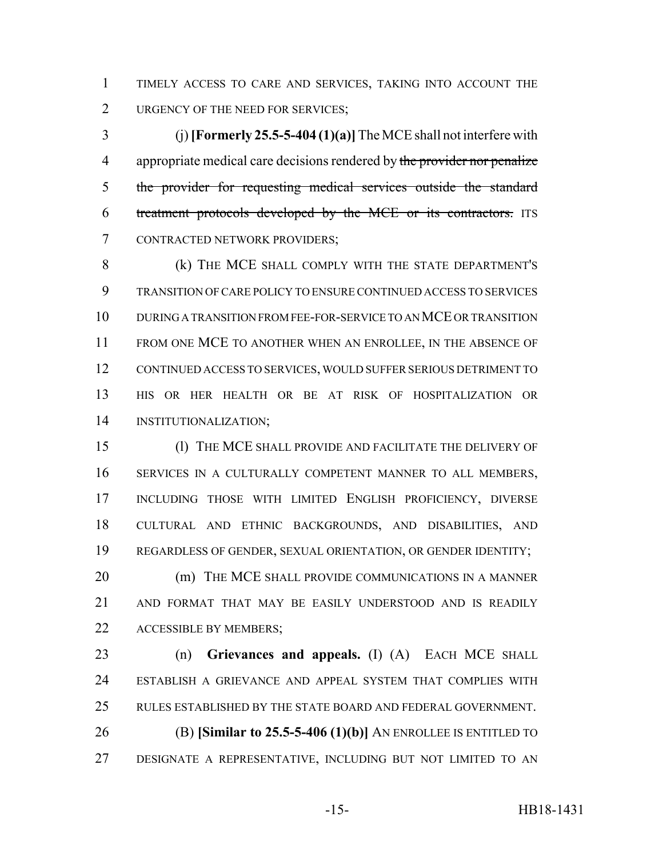TIMELY ACCESS TO CARE AND SERVICES, TAKING INTO ACCOUNT THE 2 URGENCY OF THE NEED FOR SERVICES;

 (j) **[Formerly 25.5-5-404 (1)(a)]** The MCE shall not interfere with 4 appropriate medical care decisions rendered by the provider nor penalize the provider for requesting medical services outside the standard treatment protocols developed by the MCE or its contractors. ITS CONTRACTED NETWORK PROVIDERS;

 (k) THE MCE SHALL COMPLY WITH THE STATE DEPARTMENT'S TRANSITION OF CARE POLICY TO ENSURE CONTINUED ACCESS TO SERVICES DURING A TRANSITION FROM FEE-FOR-SERVICE TO AN MCE OR TRANSITION FROM ONE MCE TO ANOTHER WHEN AN ENROLLEE, IN THE ABSENCE OF CONTINUED ACCESS TO SERVICES, WOULD SUFFER SERIOUS DETRIMENT TO HIS OR HER HEALTH OR BE AT RISK OF HOSPITALIZATION OR INSTITUTIONALIZATION;

 (l) THE MCE SHALL PROVIDE AND FACILITATE THE DELIVERY OF SERVICES IN A CULTURALLY COMPETENT MANNER TO ALL MEMBERS, INCLUDING THOSE WITH LIMITED ENGLISH PROFICIENCY, DIVERSE CULTURAL AND ETHNIC BACKGROUNDS, AND DISABILITIES, AND REGARDLESS OF GENDER, SEXUAL ORIENTATION, OR GENDER IDENTITY; **(m) THE MCE SHALL PROVIDE COMMUNICATIONS IN A MANNER** 

 AND FORMAT THAT MAY BE EASILY UNDERSTOOD AND IS READILY 22 ACCESSIBLE BY MEMBERS;

 (n) **Grievances and appeals.** (I) (A) EACH MCE SHALL ESTABLISH A GRIEVANCE AND APPEAL SYSTEM THAT COMPLIES WITH RULES ESTABLISHED BY THE STATE BOARD AND FEDERAL GOVERNMENT. (B) **[Similar to 25.5-5-406 (1)(b)]** AN ENROLLEE IS ENTITLED TO DESIGNATE A REPRESENTATIVE, INCLUDING BUT NOT LIMITED TO AN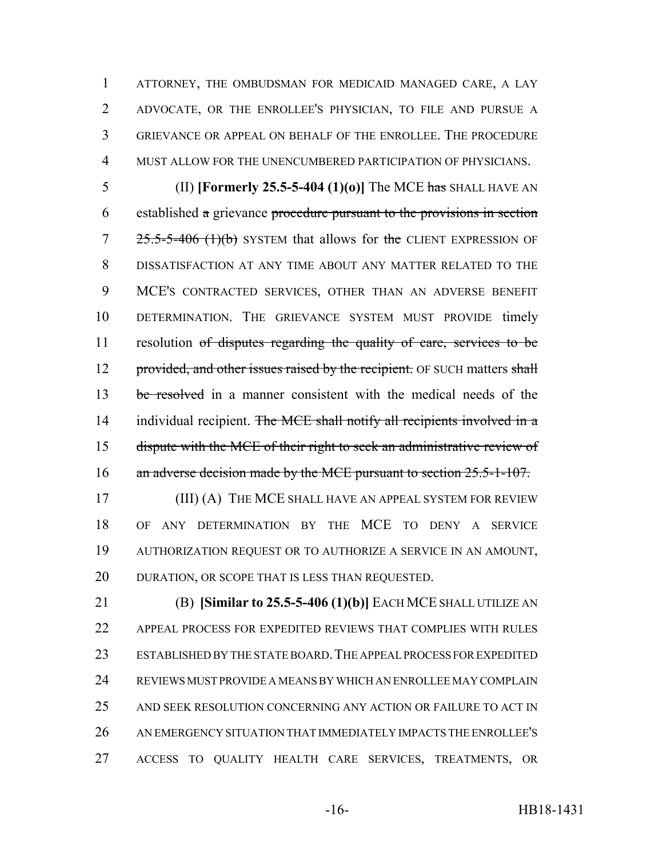ATTORNEY, THE OMBUDSMAN FOR MEDICAID MANAGED CARE, A LAY ADVOCATE, OR THE ENROLLEE'S PHYSICIAN, TO FILE AND PURSUE A GRIEVANCE OR APPEAL ON BEHALF OF THE ENROLLEE. THE PROCEDURE MUST ALLOW FOR THE UNENCUMBERED PARTICIPATION OF PHYSICIANS.

 (II) **[Formerly 25.5-5-404 (1)(o)]** The MCE has SHALL HAVE AN established a grievance procedure pursuant to the provisions in section  $7 \times 25.5-5-406$  (1)(b) SYSTEM that allows for the CLIENT EXPRESSION OF DISSATISFACTION AT ANY TIME ABOUT ANY MATTER RELATED TO THE MCE'S CONTRACTED SERVICES, OTHER THAN AN ADVERSE BENEFIT DETERMINATION. THE GRIEVANCE SYSTEM MUST PROVIDE timely 11 resolution of disputes regarding the quality of care, services to be 12 provided, and other issues raised by the recipient. OF SUCH matters shall 13 be resolved in a manner consistent with the medical needs of the 14 individual recipient. The MCE shall notify all recipients involved in a dispute with the MCE of their right to seek an administrative review of 16 an adverse decision made by the MCE pursuant to section 25.5-1-107.

**(III) (A) THE MCE SHALL HAVE AN APPEAL SYSTEM FOR REVIEW**  OF ANY DETERMINATION BY THE MCE TO DENY A SERVICE AUTHORIZATION REQUEST OR TO AUTHORIZE A SERVICE IN AN AMOUNT, 20 DURATION, OR SCOPE THAT IS LESS THAN REQUESTED.

 (B) **[Similar to 25.5-5-406 (1)(b)]** EACH MCE SHALL UTILIZE AN APPEAL PROCESS FOR EXPEDITED REVIEWS THAT COMPLIES WITH RULES ESTABLISHED BY THE STATE BOARD.THE APPEAL PROCESS FOR EXPEDITED REVIEWS MUST PROVIDE A MEANS BY WHICH AN ENROLLEE MAY COMPLAIN AND SEEK RESOLUTION CONCERNING ANY ACTION OR FAILURE TO ACT IN AN EMERGENCY SITUATION THAT IMMEDIATELY IMPACTS THE ENROLLEE'S ACCESS TO QUALITY HEALTH CARE SERVICES, TREATMENTS, OR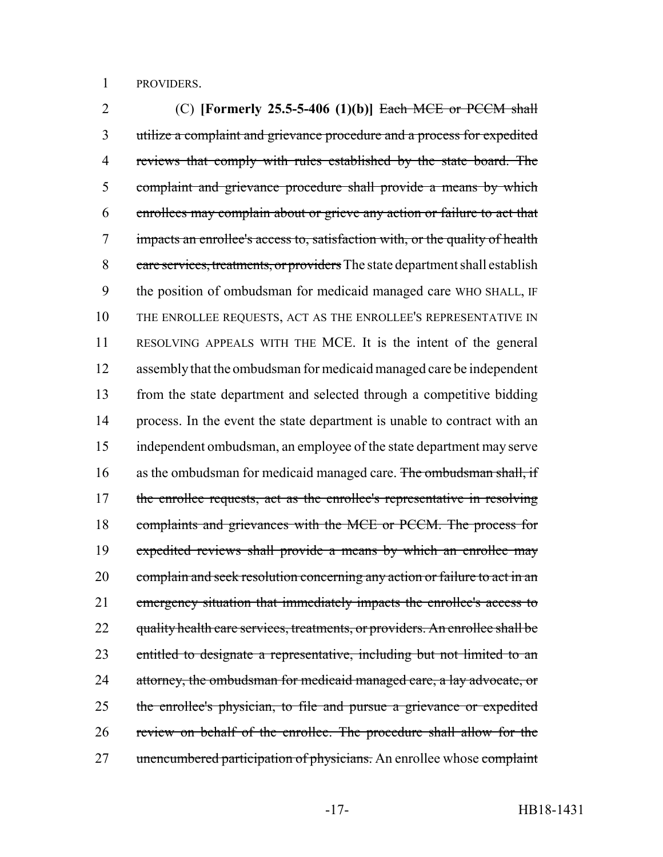PROVIDERS.

 (C) **[Formerly 25.5-5-406 (1)(b)]** Each MCE or PCCM shall utilize a complaint and grievance procedure and a process for expedited reviews that comply with rules established by the state board. The complaint and grievance procedure shall provide a means by which enrollees may complain about or grieve any action or failure to act that impacts an enrollee's access to, satisfaction with, or the quality of health 8 care services, treatments, or providers The state department shall establish the position of ombudsman for medicaid managed care WHO SHALL, IF THE ENROLLEE REQUESTS, ACT AS THE ENROLLEE'S REPRESENTATIVE IN RESOLVING APPEALS WITH THE MCE. It is the intent of the general assembly that the ombudsman for medicaid managed care be independent from the state department and selected through a competitive bidding process. In the event the state department is unable to contract with an independent ombudsman, an employee of the state department may serve 16 as the ombudsman for medicaid managed care. The ombudsman shall, if 17 the enrollee requests, act as the enrollee's representative in resolving 18 complaints and grievances with the MCE or PCCM. The process for expedited reviews shall provide a means by which an enrollee may complain and seek resolution concerning any action or failure to act in an emergency situation that immediately impacts the enrollee's access to 22 quality health care services, treatments, or providers. An enrollee shall be 23 entitled to designate a representative, including but not limited to an 24 attorney, the ombudsman for medicaid managed care, a lay advocate, or the enrollee's physician, to file and pursue a grievance or expedited review on behalf of the enrollee. The procedure shall allow for the 27 unencumbered participation of physicians. An enrollee whose complaint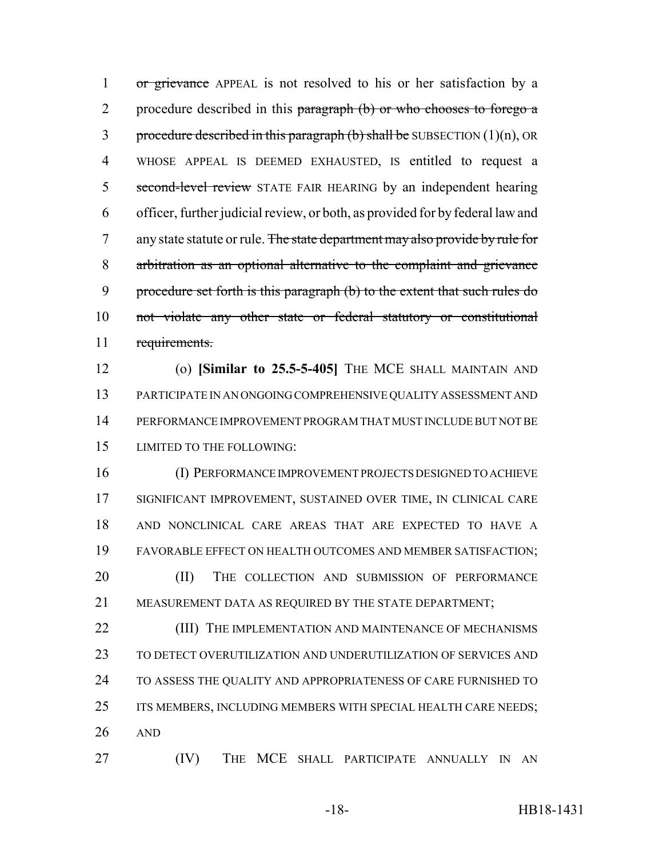1 or grievance APPEAL is not resolved to his or her satisfaction by a 2 procedure described in this paragraph (b) or who chooses to forego a 3 procedure described in this paragraph  $(b)$  shall be SUBSECTION  $(1)(n)$ , OR WHOSE APPEAL IS DEEMED EXHAUSTED, IS entitled to request a 5 second-level review STATE FAIR HEARING by an independent hearing officer, further judicial review, or both, as provided for by federal law and 7 any state statute or rule. The state department may also provide by rule for arbitration as an optional alternative to the complaint and grievance procedure set forth is this paragraph (b) to the extent that such rules do not violate any other state or federal statutory or constitutional requirements.

 (o) **[Similar to 25.5-5-405]** THE MCE SHALL MAINTAIN AND PARTICIPATE IN AN ONGOING COMPREHENSIVE QUALITY ASSESSMENT AND PERFORMANCE IMPROVEMENT PROGRAM THAT MUST INCLUDE BUT NOT BE LIMITED TO THE FOLLOWING:

 (I) PERFORMANCE IMPROVEMENT PROJECTS DESIGNED TO ACHIEVE SIGNIFICANT IMPROVEMENT, SUSTAINED OVER TIME, IN CLINICAL CARE AND NONCLINICAL CARE AREAS THAT ARE EXPECTED TO HAVE A FAVORABLE EFFECT ON HEALTH OUTCOMES AND MEMBER SATISFACTION; (II) THE COLLECTION AND SUBMISSION OF PERFORMANCE MEASUREMENT DATA AS REQUIRED BY THE STATE DEPARTMENT;

**(III)** THE IMPLEMENTATION AND MAINTENANCE OF MECHANISMS TO DETECT OVERUTILIZATION AND UNDERUTILIZATION OF SERVICES AND TO ASSESS THE QUALITY AND APPROPRIATENESS OF CARE FURNISHED TO 25 ITS MEMBERS, INCLUDING MEMBERS WITH SPECIAL HEALTH CARE NEEDS; AND

(IV) THE MCE SHALL PARTICIPATE ANNUALLY IN AN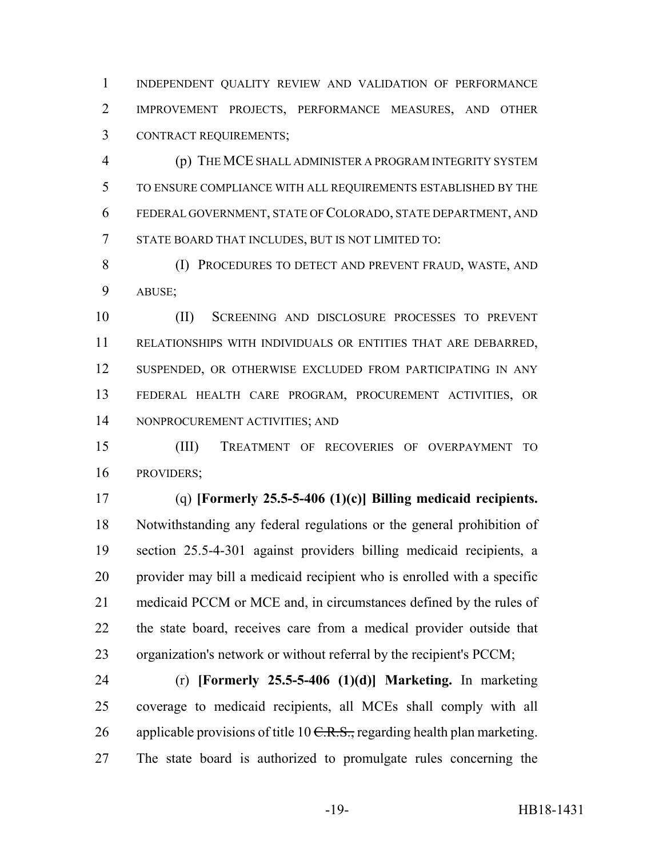INDEPENDENT QUALITY REVIEW AND VALIDATION OF PERFORMANCE IMPROVEMENT PROJECTS, PERFORMANCE MEASURES, AND OTHER CONTRACT REQUIREMENTS;

 (p) THE MCE SHALL ADMINISTER A PROGRAM INTEGRITY SYSTEM TO ENSURE COMPLIANCE WITH ALL REQUIREMENTS ESTABLISHED BY THE FEDERAL GOVERNMENT, STATE OF COLORADO, STATE DEPARTMENT, AND STATE BOARD THAT INCLUDES, BUT IS NOT LIMITED TO:

8 (I) PROCEDURES TO DETECT AND PREVENT FRAUD, WASTE, AND ABUSE;

 (II) SCREENING AND DISCLOSURE PROCESSES TO PREVENT RELATIONSHIPS WITH INDIVIDUALS OR ENTITIES THAT ARE DEBARRED, SUSPENDED, OR OTHERWISE EXCLUDED FROM PARTICIPATING IN ANY FEDERAL HEALTH CARE PROGRAM, PROCUREMENT ACTIVITIES, OR NONPROCUREMENT ACTIVITIES; AND

 (III) TREATMENT OF RECOVERIES OF OVERPAYMENT TO PROVIDERS;

 (q) **[Formerly 25.5-5-406 (1)(c)] Billing medicaid recipients.** Notwithstanding any federal regulations or the general prohibition of section 25.5-4-301 against providers billing medicaid recipients, a provider may bill a medicaid recipient who is enrolled with a specific medicaid PCCM or MCE and, in circumstances defined by the rules of the state board, receives care from a medical provider outside that organization's network or without referral by the recipient's PCCM;

 (r) **[Formerly 25.5-5-406 (1)(d)] Marketing.** In marketing coverage to medicaid recipients, all MCEs shall comply with all 26 applicable provisions of title  $10 \text{ C.R.S.}$ , regarding health plan marketing. The state board is authorized to promulgate rules concerning the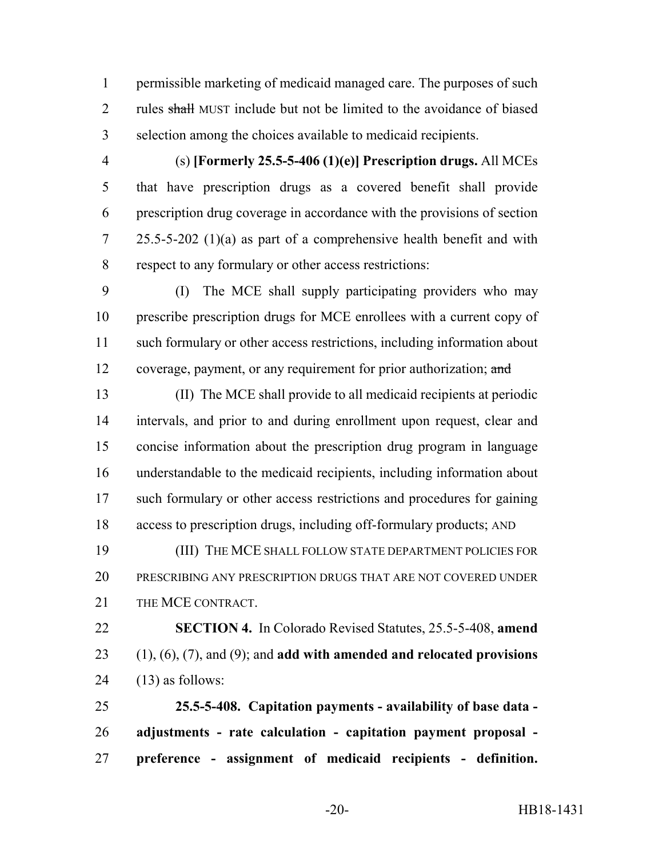permissible marketing of medicaid managed care. The purposes of such 2 rules shall MUST include but not be limited to the avoidance of biased selection among the choices available to medicaid recipients.

 (s) **[Formerly 25.5-5-406 (1)(e)] Prescription drugs.** All MCEs that have prescription drugs as a covered benefit shall provide prescription drug coverage in accordance with the provisions of section 25.5-5-202 (1)(a) as part of a comprehensive health benefit and with respect to any formulary or other access restrictions:

 (I) The MCE shall supply participating providers who may prescribe prescription drugs for MCE enrollees with a current copy of such formulary or other access restrictions, including information about 12 coverage, payment, or any requirement for prior authorization; and

 (II) The MCE shall provide to all medicaid recipients at periodic intervals, and prior to and during enrollment upon request, clear and concise information about the prescription drug program in language understandable to the medicaid recipients, including information about such formulary or other access restrictions and procedures for gaining access to prescription drugs, including off-formulary products; AND

 (III) THE MCE SHALL FOLLOW STATE DEPARTMENT POLICIES FOR PRESCRIBING ANY PRESCRIPTION DRUGS THAT ARE NOT COVERED UNDER 21 THE MCE CONTRACT.

 **SECTION 4.** In Colorado Revised Statutes, 25.5-5-408, **amend** (1), (6), (7), and (9); and **add with amended and relocated provisions** 24  $(13)$  as follows:

 **25.5-5-408. Capitation payments - availability of base data - adjustments - rate calculation - capitation payment proposal - preference - assignment of medicaid recipients - definition.**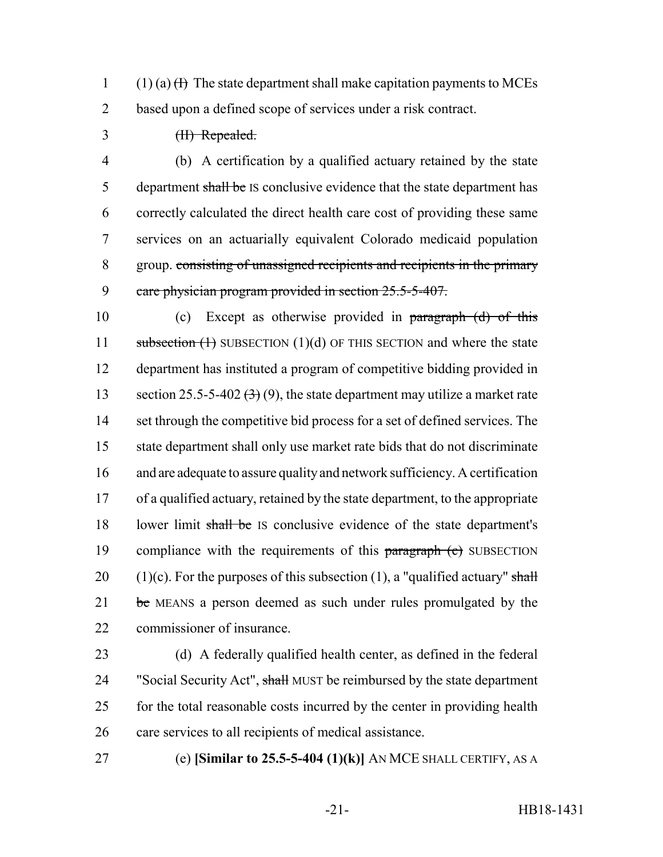1 (1) (a)  $(H)$  The state department shall make capitation payments to MCEs 2 based upon a defined scope of services under a risk contract.

3 (II) Repealed.

 (b) A certification by a qualified actuary retained by the state 5 department shall be IS conclusive evidence that the state department has correctly calculated the direct health care cost of providing these same services on an actuarially equivalent Colorado medicaid population group. consisting of unassigned recipients and recipients in the primary 9 care physician program provided in section 25.5-5-407.

10 (c) Except as otherwise provided in paragraph (d) of this 11 subsection  $(1)$  SUBSECTION  $(1)(d)$  OF THIS SECTION and where the state 12 department has instituted a program of competitive bidding provided in 13 section 25.5-5-402  $(3)(9)$ , the state department may utilize a market rate 14 set through the competitive bid process for a set of defined services. The 15 state department shall only use market rate bids that do not discriminate 16 and are adequate to assure quality and network sufficiency. A certification 17 of a qualified actuary, retained by the state department, to the appropriate 18 lower limit shall be IS conclusive evidence of the state department's 19 compliance with the requirements of this paragraph (e) SUBSECTION 20 (1)(c). For the purposes of this subsection (1), a "qualified actuary" shall 21 be MEANS a person deemed as such under rules promulgated by the 22 commissioner of insurance.

23 (d) A federally qualified health center, as defined in the federal 24 "Social Security Act", shall MUST be reimbursed by the state department 25 for the total reasonable costs incurred by the center in providing health 26 care services to all recipients of medical assistance.

27 (e) **[Similar to 25.5-5-404 (1)(k)]** AN MCE SHALL CERTIFY, AS A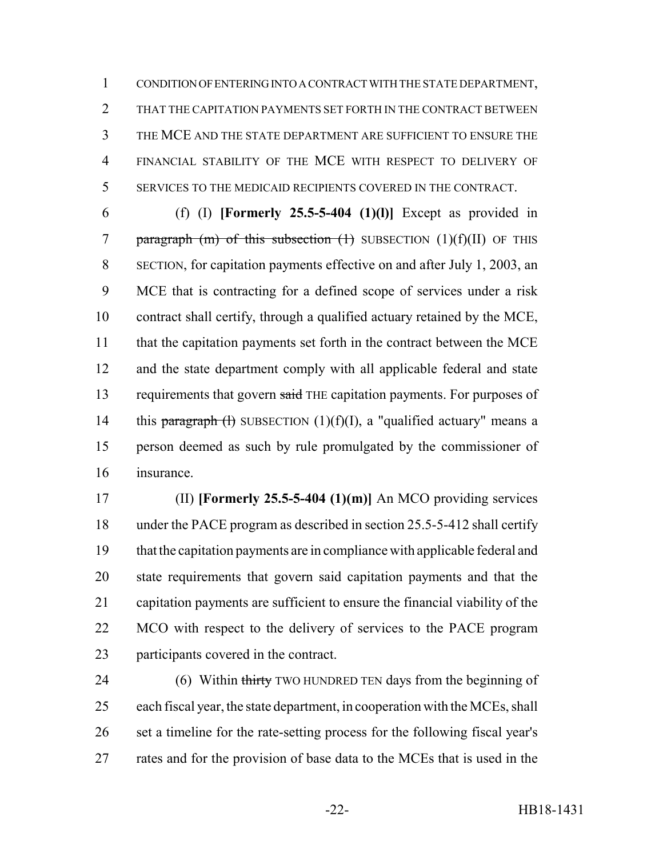CONDITION OF ENTERING INTO A CONTRACT WITH THE STATE DEPARTMENT, THAT THE CAPITATION PAYMENTS SET FORTH IN THE CONTRACT BETWEEN THE MCE AND THE STATE DEPARTMENT ARE SUFFICIENT TO ENSURE THE FINANCIAL STABILITY OF THE MCE WITH RESPECT TO DELIVERY OF SERVICES TO THE MEDICAID RECIPIENTS COVERED IN THE CONTRACT.

 (f) (I) **[Formerly 25.5-5-404 (1)(l)]** Except as provided in 7 paragraph  $(m)$  of this subsection  $(1)$  SUBSECTION  $(1)(f)(II)$  OF THIS SECTION, for capitation payments effective on and after July 1, 2003, an MCE that is contracting for a defined scope of services under a risk contract shall certify, through a qualified actuary retained by the MCE, 11 that the capitation payments set forth in the contract between the MCE and the state department comply with all applicable federal and state 13 requirements that govern said THE capitation payments. For purposes of 14 this paragraph (f) SUBSECTION  $(1)(f)(I)$ , a "qualified actuary" means a person deemed as such by rule promulgated by the commissioner of insurance.

 (II) **[Formerly 25.5-5-404 (1)(m)]** An MCO providing services under the PACE program as described in section 25.5-5-412 shall certify that the capitation payments are in compliance with applicable federal and state requirements that govern said capitation payments and that the capitation payments are sufficient to ensure the financial viability of the MCO with respect to the delivery of services to the PACE program participants covered in the contract.

24 (6) Within thirty TWO HUNDRED TEN days from the beginning of each fiscal year, the state department, in cooperation with the MCEs, shall set a timeline for the rate-setting process for the following fiscal year's rates and for the provision of base data to the MCEs that is used in the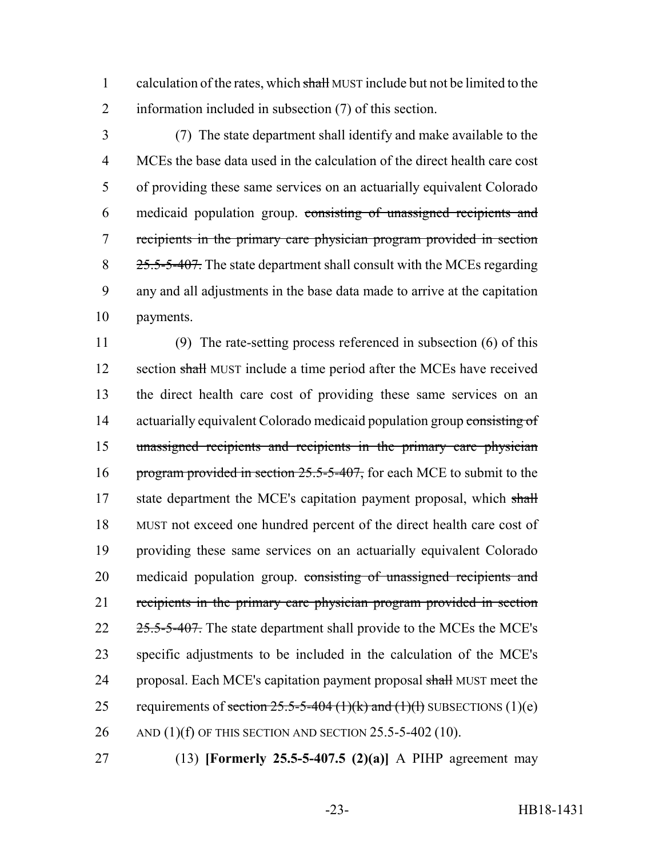1 calculation of the rates, which shall MUST include but not be limited to the 2 information included in subsection (7) of this section.

 (7) The state department shall identify and make available to the MCEs the base data used in the calculation of the direct health care cost of providing these same services on an actuarially equivalent Colorado medicaid population group. consisting of unassigned recipients and recipients in the primary care physician program provided in section 8 25.5-5-407. The state department shall consult with the MCEs regarding any and all adjustments in the base data made to arrive at the capitation payments.

11 (9) The rate-setting process referenced in subsection (6) of this 12 section shall MUST include a time period after the MCEs have received 13 the direct health care cost of providing these same services on an 14 actuarially equivalent Colorado medicaid population group consisting of 15 unassigned recipients and recipients in the primary care physician 16 program provided in section 25.5-5-407, for each MCE to submit to the 17 state department the MCE's capitation payment proposal, which shall 18 MUST not exceed one hundred percent of the direct health care cost of 19 providing these same services on an actuarially equivalent Colorado 20 medicaid population group. consisting of unassigned recipients and 21 recipients in the primary care physician program provided in section 22 25.5-5-407. The state department shall provide to the MCE's the MCE's 23 specific adjustments to be included in the calculation of the MCE's 24 proposal. Each MCE's capitation payment proposal shall MUST meet the 25 requirements of section  $25.5-5-404$  (1)(k) and (1)(f) SUBSECTIONS (1)(e) 26 AND (1)(f) OF THIS SECTION AND SECTION 25.5-5-402 (10).

27 (13) **[Formerly 25.5-5-407.5 (2)(a)]** A PIHP agreement may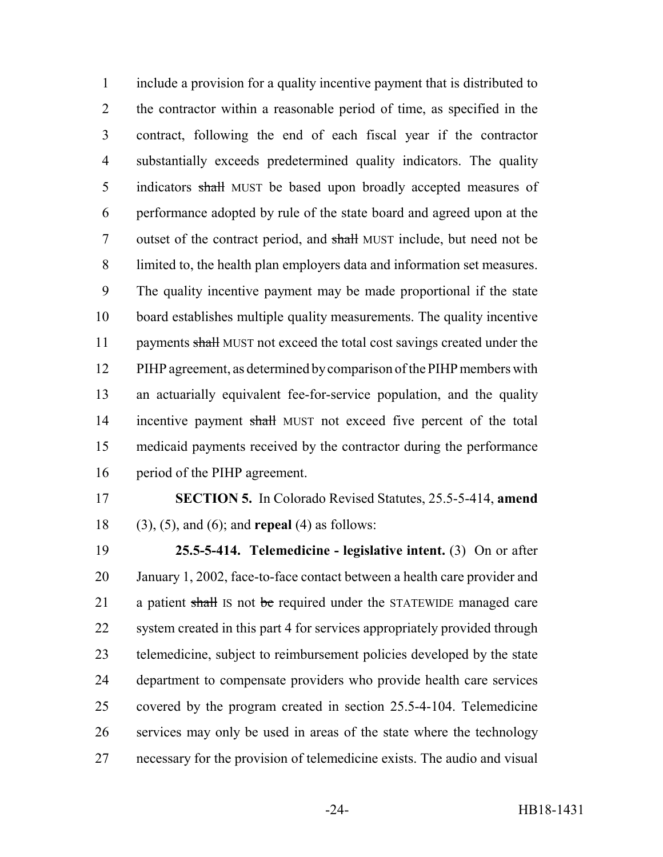include a provision for a quality incentive payment that is distributed to the contractor within a reasonable period of time, as specified in the contract, following the end of each fiscal year if the contractor substantially exceeds predetermined quality indicators. The quality 5 indicators shall MUST be based upon broadly accepted measures of performance adopted by rule of the state board and agreed upon at the outset of the contract period, and shall MUST include, but need not be limited to, the health plan employers data and information set measures. The quality incentive payment may be made proportional if the state board establishes multiple quality measurements. The quality incentive 11 payments shall MUST not exceed the total cost savings created under the PIHP agreement, as determined by comparison of the PIHP members with an actuarially equivalent fee-for-service population, and the quality 14 incentive payment shall MUST not exceed five percent of the total medicaid payments received by the contractor during the performance period of the PIHP agreement.

 **SECTION 5.** In Colorado Revised Statutes, 25.5-5-414, **amend** (3), (5), and (6); and **repeal** (4) as follows:

 **25.5-5-414. Telemedicine - legislative intent.** (3) On or after January 1, 2002, face-to-face contact between a health care provider and 21 a patient shall IS not be required under the STATEWIDE managed care 22 system created in this part 4 for services appropriately provided through telemedicine, subject to reimbursement policies developed by the state department to compensate providers who provide health care services covered by the program created in section 25.5-4-104. Telemedicine services may only be used in areas of the state where the technology necessary for the provision of telemedicine exists. The audio and visual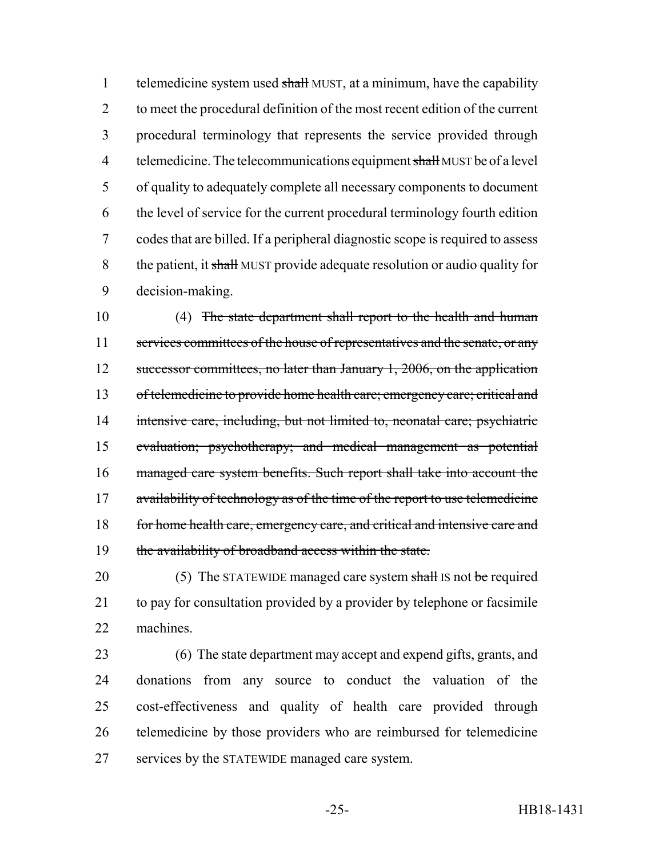1 telemedicine system used shall MUST, at a minimum, have the capability to meet the procedural definition of the most recent edition of the current procedural terminology that represents the service provided through 4 telemedicine. The telecommunications equipment shall MUST be of a level of quality to adequately complete all necessary components to document the level of service for the current procedural terminology fourth edition codes that are billed. If a peripheral diagnostic scope is required to assess 8 the patient, it shall MUST provide adequate resolution or audio quality for decision-making.

 (4) The state department shall report to the health and human 11 services committees of the house of representatives and the senate, or any 12 successor committees, no later than January 1, 2006, on the application 13 of telemedicine to provide home health care; emergency care; critical and intensive care, including, but not limited to, neonatal care; psychiatric evaluation; psychotherapy; and medical management as potential managed care system benefits. Such report shall take into account the 17 availability of technology as of the time of the report to use telemedicine 18 for home health care, emergency care, and critical and intensive care and the availability of broadband access within the state.

20 (5) The STATEWIDE managed care system shall IS not be required to pay for consultation provided by a provider by telephone or facsimile machines.

 (6) The state department may accept and expend gifts, grants, and donations from any source to conduct the valuation of the cost-effectiveness and quality of health care provided through telemedicine by those providers who are reimbursed for telemedicine services by the STATEWIDE managed care system.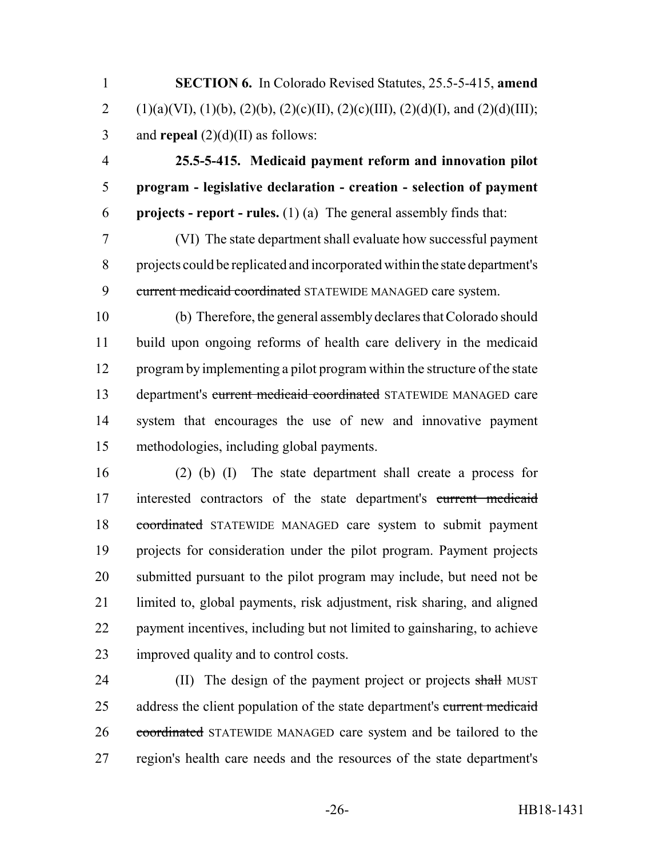**SECTION 6.** In Colorado Revised Statutes, 25.5-5-415, **amend** 2 (1)(a)(VI), (1)(b), (2)(b), (2)(c)(II), (2)(c)(III), (2)(d)(I), and (2)(d)(III); and **repeal** (2)(d)(II) as follows:

 **25.5-5-415. Medicaid payment reform and innovation pilot program - legislative declaration - creation - selection of payment projects - report - rules.** (1) (a) The general assembly finds that:

 (VI) The state department shall evaluate how successful payment projects could be replicated and incorporated within the state department's 9 current medicaid coordinated STATEWIDE MANAGED care system.

 (b) Therefore, the general assembly declares that Colorado should build upon ongoing reforms of health care delivery in the medicaid program by implementing a pilot program within the structure of the state department's current medicaid coordinated STATEWIDE MANAGED care system that encourages the use of new and innovative payment methodologies, including global payments.

 (2) (b) (I) The state department shall create a process for 17 interested contractors of the state department's current medicaid coordinated STATEWIDE MANAGED care system to submit payment projects for consideration under the pilot program. Payment projects submitted pursuant to the pilot program may include, but need not be limited to, global payments, risk adjustment, risk sharing, and aligned payment incentives, including but not limited to gainsharing, to achieve improved quality and to control costs.

24 (II) The design of the payment project or projects shall MUST 25 address the client population of the state department's current medicaid coordinated STATEWIDE MANAGED care system and be tailored to the region's health care needs and the resources of the state department's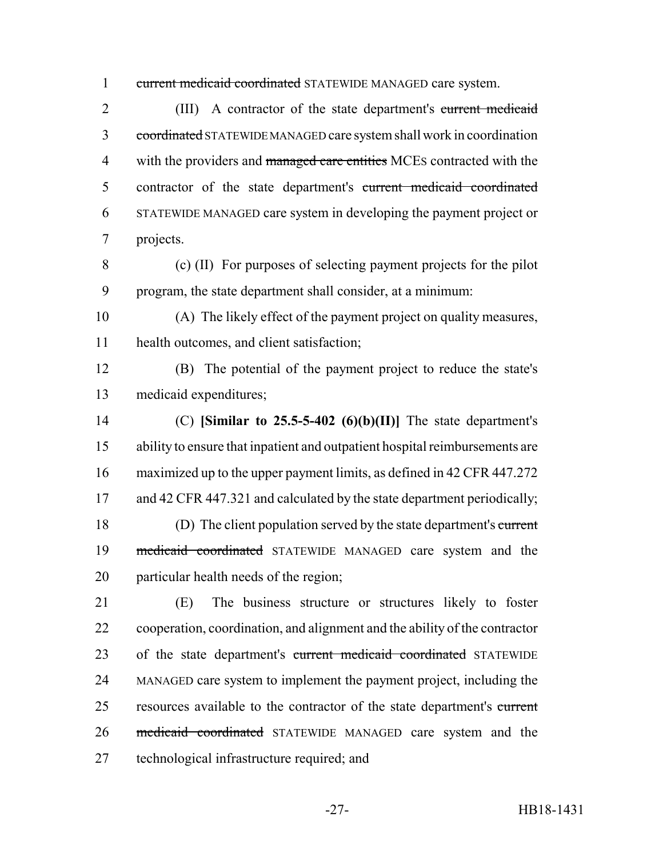1 current medicaid coordinated STATEWIDE MANAGED care system.

 (III) A contractor of the state department's current medicaid 3 coordinated STATEWIDE MANAGED care system shall work in coordination 4 with the providers and managed care entities MCEs contracted with the contractor of the state department's current medicaid coordinated STATEWIDE MANAGED care system in developing the payment project or projects.

 (c) (II) For purposes of selecting payment projects for the pilot program, the state department shall consider, at a minimum:

 (A) The likely effect of the payment project on quality measures, health outcomes, and client satisfaction;

 (B) The potential of the payment project to reduce the state's medicaid expenditures;

 (C) **[Similar to 25.5-5-402 (6)(b)(II)]** The state department's ability to ensure that inpatient and outpatient hospital reimbursements are maximized up to the upper payment limits, as defined in 42 CFR 447.272 17 and 42 CFR 447.321 and calculated by the state department periodically; (D) The client population served by the state department's current 19 medicaid coordinated STATEWIDE MANAGED care system and the particular health needs of the region;

 (E) The business structure or structures likely to foster cooperation, coordination, and alignment and the ability of the contractor 23 of the state department's current medicaid coordinated STATEWIDE MANAGED care system to implement the payment project, including the 25 resources available to the contractor of the state department's current medicaid coordinated STATEWIDE MANAGED care system and the technological infrastructure required; and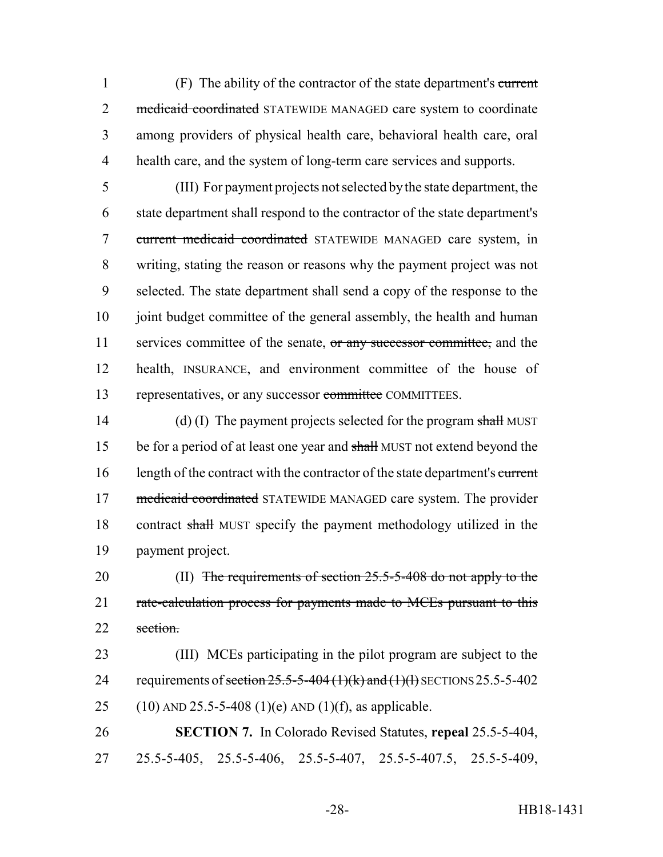(F) The ability of the contractor of the state department's current 2 medicaid coordinated STATEWIDE MANAGED care system to coordinate among providers of physical health care, behavioral health care, oral health care, and the system of long-term care services and supports.

 (III) For payment projects not selected by the state department, the state department shall respond to the contractor of the state department's current medicaid coordinated STATEWIDE MANAGED care system, in writing, stating the reason or reasons why the payment project was not selected. The state department shall send a copy of the response to the 10 joint budget committee of the general assembly, the health and human 11 services committee of the senate, or any successor committee, and the health, INSURANCE, and environment committee of the house of 13 representatives, or any successor committee COMMITTEES.

14 (d) (I) The payment projects selected for the program shall MUST 15 be for a period of at least one year and shall MUST not extend beyond the 16 length of the contract with the contractor of the state department's current 17 medicaid coordinated STATEWIDE MANAGED care system. The provider 18 contract shall MUST specify the payment methodology utilized in the 19 payment project.

20 (II) The requirements of section 25.5-5-408 do not apply to the 21 rate-calculation process for payments made to MCEs pursuant to this 22 section

23 (III) MCEs participating in the pilot program are subject to the 24 requirements of section  $25.5-5-404$  (1)(k) and (1)(h) SECTIONS 25.5-5-402 25 (10) AND 25.5-5-408 (1)(e) AND (1)(f), as applicable.

26 **SECTION 7.** In Colorado Revised Statutes, **repeal** 25.5-5-404, 27 25.5-5-405, 25.5-5-406, 25.5-5-407, 25.5-5-407.5, 25.5-5-409,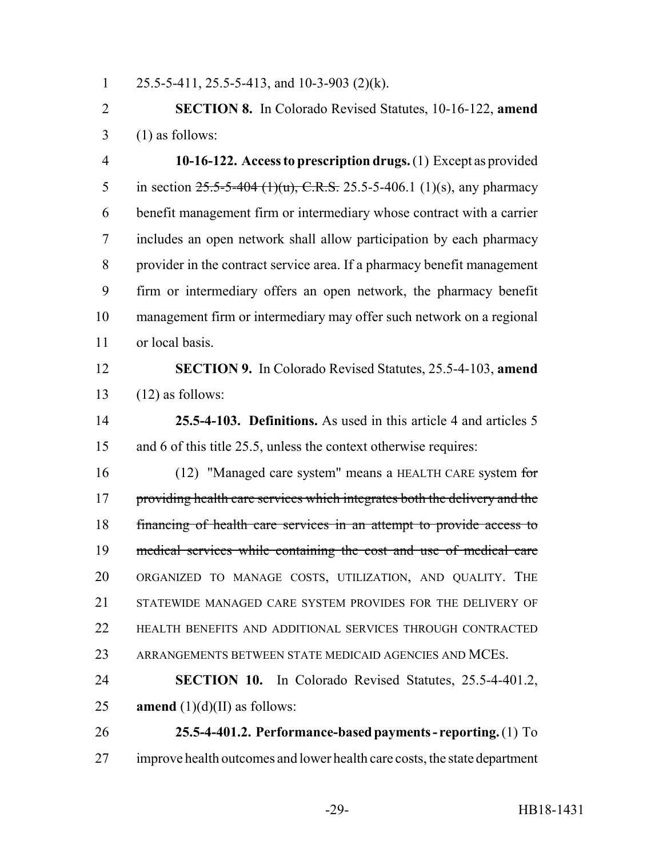1 25.5-5-411, 25.5-5-413, and 10-3-903 (2)(k).

 **SECTION 8.** In Colorado Revised Statutes, 10-16-122, **amend**  $3 \quad (1)$  as follows:

 **10-16-122. Access to prescription drugs.** (1) Except as provided 5 in section  $25.5-5-404$  (1)(u), C.R.S. 25.5-5-406.1 (1)(s), any pharmacy benefit management firm or intermediary whose contract with a carrier includes an open network shall allow participation by each pharmacy provider in the contract service area. If a pharmacy benefit management firm or intermediary offers an open network, the pharmacy benefit management firm or intermediary may offer such network on a regional or local basis.

 **SECTION 9.** In Colorado Revised Statutes, 25.5-4-103, **amend**  $13 \quad (12)$  as follows:

 **25.5-4-103. Definitions.** As used in this article 4 and articles 5 and 6 of this title 25.5, unless the context otherwise requires:

16 (12) "Managed care system" means a HEALTH CARE system for 17 providing health care services which integrates both the delivery and the financing of health care services in an attempt to provide access to medical services while containing the cost and use of medical care ORGANIZED TO MANAGE COSTS, UTILIZATION, AND QUALITY. THE STATEWIDE MANAGED CARE SYSTEM PROVIDES FOR THE DELIVERY OF HEALTH BENEFITS AND ADDITIONAL SERVICES THROUGH CONTRACTED ARRANGEMENTS BETWEEN STATE MEDICAID AGENCIES AND MCES.

 **SECTION 10.** In Colorado Revised Statutes, 25.5-4-401.2, 25 **amend**  $(1)(d)(II)$  as follows:

 **25.5-4-401.2. Performance-based payments - reporting.** (1) To improve health outcomes and lower health care costs, the state department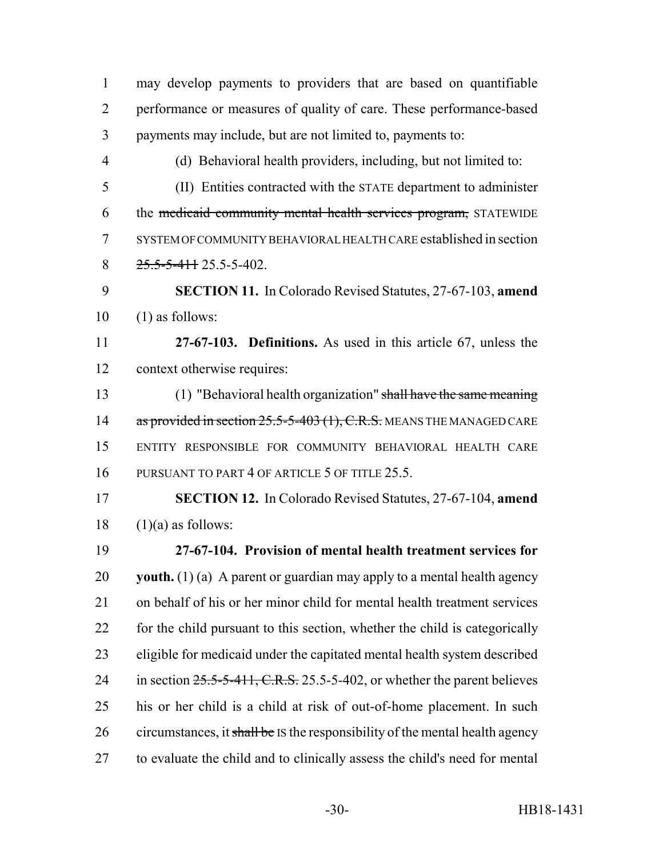may develop payments to providers that are based on quantifiable performance or measures of quality of care. These performance-based payments may include, but are not limited to, payments to: (d) Behavioral health providers, including, but not limited to: (II) Entities contracted with the STATE department to administer the medicaid community mental health services program, STATEWIDE SYSTEM OF COMMUNITY BEHAVIORAL HEALTH CARE established in section  $8 \frac{25.5 - 5 - 411}{25.5 - 5 - 402}$ . **SECTION 11.** In Colorado Revised Statutes, 27-67-103, **amend** (1) as follows: **27-67-103. Definitions.** As used in this article 67, unless the context otherwise requires: (1) "Behavioral health organization" shall have the same meaning 14 as provided in section 25.5-5-403 (1), C.R.S. MEANS THE MANAGED CARE ENTITY RESPONSIBLE FOR COMMUNITY BEHAVIORAL HEALTH CARE 16 PURSUANT TO PART 4 OF ARTICLE 5 OF TITLE 25.5. **SECTION 12.** In Colorado Revised Statutes, 27-67-104, **amend** (1)(a) as follows: **27-67-104. Provision of mental health treatment services for youth.** (1) (a) A parent or guardian may apply to a mental health agency on behalf of his or her minor child for mental health treatment services for the child pursuant to this section, whether the child is categorically eligible for medicaid under the capitated mental health system described 24 in section  $25.5-5-411$ , C.R.S. 25.5-5-402, or whether the parent believes his or her child is a child at risk of out-of-home placement. In such 26 circumstances, it shall be IS the responsibility of the mental health agency to evaluate the child and to clinically assess the child's need for mental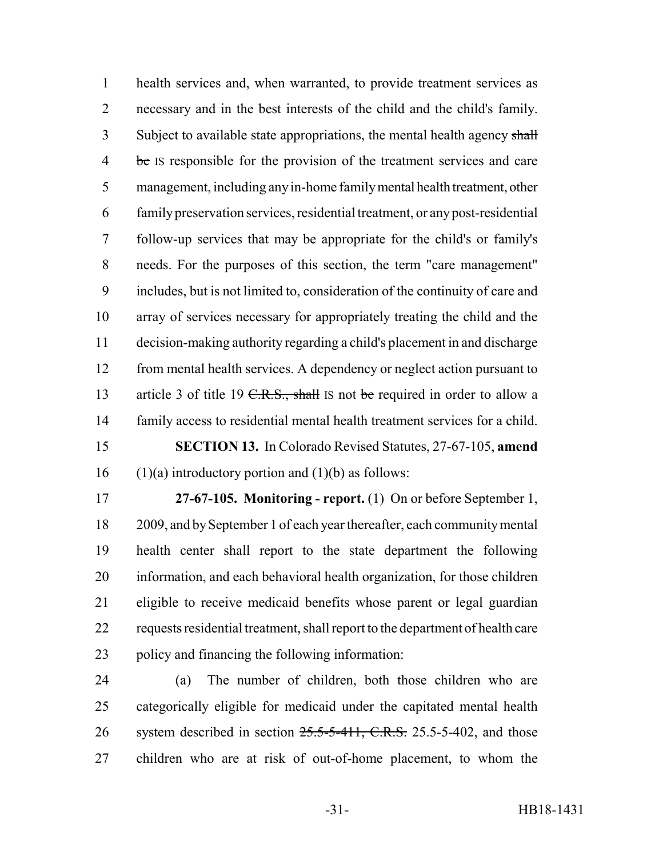health services and, when warranted, to provide treatment services as necessary and in the best interests of the child and the child's family. 3 Subject to available state appropriations, the mental health agency shall 4 be IS responsible for the provision of the treatment services and care management, including any in-home family mental health treatment, other family preservation services, residential treatment, or any post-residential follow-up services that may be appropriate for the child's or family's needs. For the purposes of this section, the term "care management" includes, but is not limited to, consideration of the continuity of care and array of services necessary for appropriately treating the child and the decision-making authority regarding a child's placement in and discharge 12 from mental health services. A dependency or neglect action pursuant to 13 article 3 of title 19 C.R.S., shall IS not be required in order to allow a family access to residential mental health treatment services for a child. **SECTION 13.** In Colorado Revised Statutes, 27-67-105, **amend** 16 (1)(a) introductory portion and (1)(b) as follows:

 **27-67-105. Monitoring - report.** (1) On or before September 1, 2009, and by September 1 of each year thereafter, each community mental health center shall report to the state department the following information, and each behavioral health organization, for those children eligible to receive medicaid benefits whose parent or legal guardian requests residential treatment, shall report to the department of health care policy and financing the following information:

 (a) The number of children, both those children who are categorically eligible for medicaid under the capitated mental health 26 system described in section 25.5-5-411, C.R.S. 25.5-5-402, and those children who are at risk of out-of-home placement, to whom the